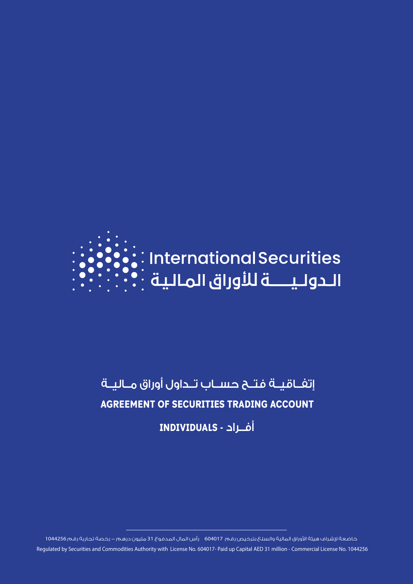

# إتفــاقيــة فتــح حســاب تــداول أوراق مــاليــة **AGREEMENT OF SECURITIES TRADING ACCOUNT**

أفــراد **- INDIVIDUALS**

خاضعة لإشراف هيئة الأوراق المالية والسلع بترخيص رقم 604017 رأس المال المدفوع 31 مليون درهم – رخصة تجارية رقم 1044256 Regulated by Securities and Commodities Authority with License No. 604017- Paid up Capital AED 31 million - Commercial License No. 1044256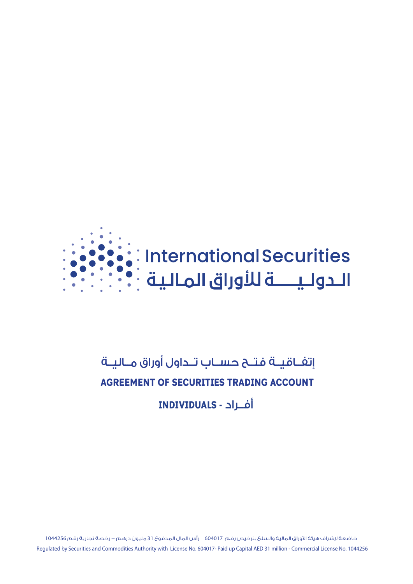

# إتفــاقيــة فتــح حســاب تــداول أوراق مــاليــة **AGREEMENT OF SECURITIES TRADING ACCOUNT** أفــراد **- INDIVIDUALS**

خاضعة لإشراف هيئة الأوراق المالية والسلع بترخيص رقم 604017 رأس المال المدفوع 31 مليون درهم – رخصة تجارية رقم 1044256 Regulated by Securities and Commodities Authority with License No. 604017- Paid up Capital AED 31 million - Commercial License No. 1044256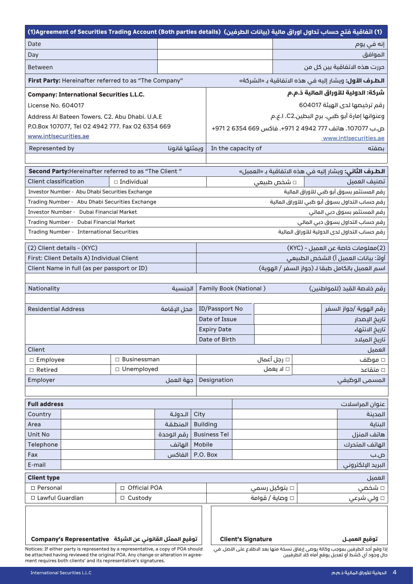| (1) اتفاقية فتم حساب تداول اوراق مالية (بيانات الطرفين)  (Agreement of Securities Trading Account (Both parties details)                                                                                                                                                      |                   |                |                                 |                                                        |                      |  |                                                               |
|-------------------------------------------------------------------------------------------------------------------------------------------------------------------------------------------------------------------------------------------------------------------------------|-------------------|----------------|---------------------------------|--------------------------------------------------------|----------------------|--|---------------------------------------------------------------|
| Date                                                                                                                                                                                                                                                                          |                   |                |                                 |                                                        |                      |  | إنه في يوم                                                    |
| Day                                                                                                                                                                                                                                                                           |                   |                |                                 |                                                        |                      |  | الموافق                                                       |
| <b>Between</b>                                                                                                                                                                                                                                                                |                   |                |                                 |                                                        |                      |  | حررت هذه الاتفاقية بين كل من                                  |
| First Party: Hereinafter referred to as "The Company"<br><b>الطـرف الأول:</b> ويشار إليه في هذه الاتفاقية بـ «الشركة»                                                                                                                                                         |                   |                |                                 |                                                        |                      |  |                                                               |
| <b>Company: International Securities L.L.C.</b>                                                                                                                                                                                                                               |                   |                |                                 |                                                        |                      |  | شركة: الدولية للأوراق المالية ذ.م.م                           |
| License No. 604017                                                                                                                                                                                                                                                            |                   |                |                                 | رقم ترخيصها لدى الهيئة 604017                          |                      |  |                                                               |
| Address Al Bateen Towers. C2. Abu Dhabi. U.A.E                                                                                                                                                                                                                                |                   |                |                                 | وعنوانها إمارة أبو ظبي. برج البطين.C2. ا.ع.م           |                      |  |                                                               |
| P.O.Box 107077, Tel 02 4942 777. Fax 02 6354 669                                                                                                                                                                                                                              |                   |                |                                 | ص.ب 107077. هاتف 777 4942 2 971+. فاكس 669 6354 2 971+ |                      |  |                                                               |
| www.intlsecurities.ae                                                                                                                                                                                                                                                         |                   |                |                                 |                                                        |                      |  | www.intlsecurities.ae                                         |
| Represented by                                                                                                                                                                                                                                                                |                   | ويمثلها قانونا |                                 | In the capacity of                                     |                      |  | ىصفته                                                         |
|                                                                                                                                                                                                                                                                               |                   |                |                                 |                                                        |                      |  |                                                               |
| Second Party: Hereinafter referred to as "The Client"                                                                                                                                                                                                                         |                   |                |                                 |                                                        |                      |  | <b>الطـرف الثاني:</b> ويشار إليه في هذه الاتفاقية بـ «العميل» |
| <b>Client classification</b>                                                                                                                                                                                                                                                  | $\Box$ Individual |                |                                 |                                                        | □ شخص طبیعی          |  | تصنيف العميل                                                  |
| Investor Number - Abu Dhabi Securities Exchange                                                                                                                                                                                                                               |                   |                |                                 |                                                        |                      |  | رقم المستثمر بسوق أبو ظبى للأوراق المالية                     |
| Trading Number - Abu Dhabi Securities Exchange                                                                                                                                                                                                                                |                   |                |                                 |                                                        |                      |  | رقم حساب التداول بسوق أبو ظبى للأوراق المالية                 |
| <b>Investor Number - Dubai Financial Market</b>                                                                                                                                                                                                                               |                   |                |                                 |                                                        |                      |  | رقم المستثمر بسوق دبي المالي                                  |
| Trading Number - Dubai Financial Market                                                                                                                                                                                                                                       |                   |                |                                 |                                                        |                      |  | رقم حساب التداول بسوق دبي المالي                              |
| Trading Number - International Securities                                                                                                                                                                                                                                     |                   |                |                                 |                                                        |                      |  | رقم حساب التداول لدى الدولية للأوراق المالية                  |
| (2) Client details - (KYC)                                                                                                                                                                                                                                                    |                   |                |                                 |                                                        |                      |  | (2)معلومات خاصة عن العميل - (KYC)                             |
| First: Client Details A) Individual Client                                                                                                                                                                                                                                    |                   |                |                                 | أولاً: بيانات العميل أ) الشخص الطبيعى                  |                      |  |                                                               |
| Client Name in full (as per passport or ID)                                                                                                                                                                                                                                   |                   |                |                                 |                                                        |                      |  | اسم العميل بالكامل طبقا لـ (جواز السفر / الهوية)              |
|                                                                                                                                                                                                                                                                               |                   |                |                                 |                                                        |                      |  |                                                               |
| Nationality                                                                                                                                                                                                                                                                   |                   | الجنسية        | <b>Family Book (National)</b>   |                                                        |                      |  | رقم خلاصة القيد (للمواطنين)                                   |
|                                                                                                                                                                                                                                                                               |                   |                |                                 |                                                        |                      |  |                                                               |
| <b>Residential Address</b>                                                                                                                                                                                                                                                    |                   | محل البقامة    | ID/Passport No<br>Date of Issue |                                                        |                      |  | رقم الهوية /جواز السفر                                        |
|                                                                                                                                                                                                                                                                               |                   |                | <b>Expiry Date</b>              |                                                        |                      |  | تاريخ الإصدار<br>تاريخ الانتهاء                               |
|                                                                                                                                                                                                                                                                               |                   |                | Date of Birth                   |                                                        |                      |  | تاريخ الميلاد                                                 |
| Client                                                                                                                                                                                                                                                                        |                   |                |                                 |                                                        |                      |  | العميل                                                        |
| □ Employee                                                                                                                                                                                                                                                                    | □ Businessman     |                |                                 |                                                        | □ رجل أعمال          |  | □ موظف                                                        |
| $\Box$ Retired                                                                                                                                                                                                                                                                | □ Unemployed      |                |                                 |                                                        | □ لا يعمل            |  | □ متقاعد                                                      |
| Employer                                                                                                                                                                                                                                                                      |                   | جهة العمل      | Designation                     |                                                        |                      |  | المسمى الوظيفى                                                |
|                                                                                                                                                                                                                                                                               |                   |                |                                 |                                                        |                      |  |                                                               |
| <b>Full address</b>                                                                                                                                                                                                                                                           |                   |                |                                 |                                                        |                      |  | عنوان المراسلات                                               |
| Country                                                                                                                                                                                                                                                                       |                   | الدولة         | City                            |                                                        |                      |  | المدينة                                                       |
| Area                                                                                                                                                                                                                                                                          |                   | المنطقة        | <b>Building</b>                 |                                                        |                      |  | البناية                                                       |
| Unit No                                                                                                                                                                                                                                                                       |                   | رقم الوحدة     | <b>Business Tel</b>             |                                                        |                      |  | هاتف المنزل                                                   |
| Telephone                                                                                                                                                                                                                                                                     |                   | الهاتف         | Mobile                          |                                                        |                      |  | الهاتف المتحرك                                                |
| Fax                                                                                                                                                                                                                                                                           |                   | الفاكس         | P.O. Box                        |                                                        |                      |  | ص.ب                                                           |
| E-mail                                                                                                                                                                                                                                                                        |                   |                |                                 |                                                        |                      |  | البريد الإلكتروني                                             |
| <b>Client type</b>                                                                                                                                                                                                                                                            |                   |                |                                 |                                                        |                      |  | العميل                                                        |
| □ Personal                                                                                                                                                                                                                                                                    | □ Official POA    |                |                                 |                                                        | بتوکیل رسمی $\Box$   |  | □ شخصي                                                        |
| □ Lawful Guardian                                                                                                                                                                                                                                                             | □ Custody         |                |                                 |                                                        | وصاية / قوامة $\Box$ |  | □ ولى شرعى                                                    |
| توقيع الممثل القانوني عن الشركة Company's Representative<br><b>Client's Signature</b><br>توقيع العميــل<br>Notices: If either party is represented by a representative, a copy of POA should<br>ذا وقع أحد الطرفين بموجب وكالة يوصى إرفاق نسخة منها بعد الاطلاع على الأصل. في |                   |                |                                 |                                                        |                      |  |                                                               |

be attached having reviewed the original POA. Any change or alteration in agree-<br>ment requires both clients' and its representative's signatures.

حال وجود أي كشط أو تعديل يوقع أماه كال الطرفيين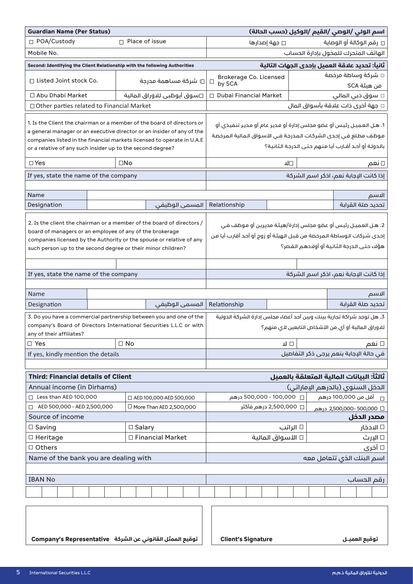| <b>Guardian Name (Per Status)</b>                                                                                                                                                                                                                                                        |                     |                                                                                                                                           |                                         |                                                                                                                                                                                              | اسم الولي /الوصي /القيم /الوكيل (حسب الحالة)                                                                                                                                              |
|------------------------------------------------------------------------------------------------------------------------------------------------------------------------------------------------------------------------------------------------------------------------------------------|---------------------|-------------------------------------------------------------------------------------------------------------------------------------------|-----------------------------------------|----------------------------------------------------------------------------------------------------------------------------------------------------------------------------------------------|-------------------------------------------------------------------------------------------------------------------------------------------------------------------------------------------|
| □ POA/Custody                                                                                                                                                                                                                                                                            |                     | □ Place of issue                                                                                                                          | □ جهة إصدارها                           |                                                                                                                                                                                              | □ رقم الوكالة أو الوصاية                                                                                                                                                                  |
| Mobile No.                                                                                                                                                                                                                                                                               |                     |                                                                                                                                           | الهاتف المتحرك للمخول بإدارة الحساب     |                                                                                                                                                                                              |                                                                                                                                                                                           |
| Second: Identifying the Client Relationship with the following Authorities                                                                                                                                                                                                               |                     |                                                                                                                                           |                                         | ثانياً: تحديد علاقة العميل بإحدى الجهات التالية                                                                                                                                              |                                                                                                                                                                                           |
| □ Listed Joint stock Co.                                                                                                                                                                                                                                                                 | □ شركة مساهمة مدرجة |                                                                                                                                           | $\Box$<br>by SCA                        | $\square$ شركة وساطة مرخصة<br>Brokerage Co. Licensed<br>من هيئة SCA                                                                                                                          |                                                                                                                                                                                           |
| □ Abu Dhabi Market                                                                                                                                                                                                                                                                       |                     | □سوق أبوظبي للاوراق المالية                                                                                                               | <b>Dubai Financial Market</b><br>$\Box$ |                                                                                                                                                                                              | □ سوق دبي المالي                                                                                                                                                                          |
| $\Box$ Other parties related to Financial Market                                                                                                                                                                                                                                         |                     |                                                                                                                                           |                                         |                                                                                                                                                                                              | $\Box$ جهة أخرى ذات علاقة بأسواق المال                                                                                                                                                    |
| 1. Is the Client the chairman or a member of the board of directors or<br>a general manager or an executive director or an insider of any of the<br>companies listed in the financial markets licensed to operate in U.A.E<br>or a relative of any such insider up to the second degree? |                     |                                                                                                                                           |                                         |                                                                                                                                                                                              | 1. هـل العميـل رئيس أو عضو مجلس إدارة أو مدير عام أو مديـر تنفيذي أو<br>موظف مطلع في إحدى الشركات المدرجة في الأسواق المالية المرخصة<br>بالدولة أو أحد أقارب أيا منهم حتى الدرجة الثانية؟ |
| $\Box$ Yes                                                                                                                                                                                                                                                                               |                     | $\square$ No                                                                                                                              |                                         | ╜□                                                                                                                                                                                           | □ نعم                                                                                                                                                                                     |
| If yes, state the name of the company                                                                                                                                                                                                                                                    |                     |                                                                                                                                           |                                         |                                                                                                                                                                                              | إذا كانت الإجابة نعم، اذكر اسم الشركة                                                                                                                                                     |
|                                                                                                                                                                                                                                                                                          |                     |                                                                                                                                           |                                         |                                                                                                                                                                                              |                                                                                                                                                                                           |
| Name                                                                                                                                                                                                                                                                                     |                     |                                                                                                                                           |                                         |                                                                                                                                                                                              | الاسم                                                                                                                                                                                     |
| Designation                                                                                                                                                                                                                                                                              |                     | المسمى الوظيفى                                                                                                                            | Relationship                            |                                                                                                                                                                                              | تحديد صلة القرابة                                                                                                                                                                         |
| 2. Is the client the chairman or a member of the board of directors /<br>board of managers or an employee of any of the brokerage<br>companies licensed by the Authority or the spouse or relative of any<br>such person up to the second degree or their minor children?                |                     |                                                                                                                                           |                                         | 2. هـل العميـل رئيس أو عضو مجلس إدارة/هيئة مديرين أو مـوظف فـى<br>إحدى شركات الـوساطة الـمرخصة من قـبـل الـهيئـة أو زوج أو أحـد أقارب أيـا مـن<br>هؤلاء حتى الدرجة الثانية أو أولادهم القصر؟ |                                                                                                                                                                                           |
| If yes, state the name of the company                                                                                                                                                                                                                                                    |                     |                                                                                                                                           | إذا كانت الإجابة نعم، اذكر اسم الشركة   |                                                                                                                                                                                              |                                                                                                                                                                                           |
|                                                                                                                                                                                                                                                                                          |                     |                                                                                                                                           |                                         |                                                                                                                                                                                              |                                                                                                                                                                                           |
| Name                                                                                                                                                                                                                                                                                     |                     |                                                                                                                                           |                                         |                                                                                                                                                                                              | الاسم                                                                                                                                                                                     |
| Designation                                                                                                                                                                                                                                                                              |                     | المسمى الوظيفى                                                                                                                            | Relationship                            |                                                                                                                                                                                              | تحديد صلة القرابة                                                                                                                                                                         |
| any of their affiliates?                                                                                                                                                                                                                                                                 |                     | 3. Do you have a commercial partnership between you and one of the<br>company's Board of Directors International Securities L.L.C or with |                                         |                                                                                                                                                                                              | 3. هل توجد شراكة تجارية بينك وبين أحد أعضاء مجلس إدارة الشركة الدولية<br>للاوراق المالية أو أي من الأشخاص التابعين لأي منهم؟                                                              |
| $\Box$ Yes                                                                                                                                                                                                                                                                               |                     | $\Box$ No                                                                                                                                 |                                         | ⊡ ⊔                                                                                                                                                                                          | □ نعم                                                                                                                                                                                     |
| If yes, kindly mention the details                                                                                                                                                                                                                                                       |                     |                                                                                                                                           |                                         |                                                                                                                                                                                              | في حالة الإجابة بنعم يرجى ذكر التفاصيل                                                                                                                                                    |
|                                                                                                                                                                                                                                                                                          |                     |                                                                                                                                           |                                         |                                                                                                                                                                                              |                                                                                                                                                                                           |
| <b>Third: Financial details of Client</b>                                                                                                                                                                                                                                                |                     |                                                                                                                                           |                                         |                                                                                                                                                                                              | ِ ثَالثًاً: البيانات المالية المتعلقة بالعميل                                                                                                                                             |
| Annual income (in Dirhams)                                                                                                                                                                                                                                                               |                     |                                                                                                                                           |                                         |                                                                                                                                                                                              | الدخل السنوي (بالدرهم الإماراتي)                                                                                                                                                          |
| $\Box$ Less than AED 100,000                                                                                                                                                                                                                                                             |                     | □ AED 100,000-AED 500,000                                                                                                                 | □ 500,000 - 100,000 درهم                |                                                                                                                                                                                              |                                                                                                                                                                                           |
| AED 500,000 - AED 2,500,000<br>$\Box$<br>Source of income                                                                                                                                                                                                                                |                     | $\Box$ More Than AED 2,500,000                                                                                                            | □ 2,500,000 درهم فأكثر                  |                                                                                                                                                                                              | □ 2,500,000- 500,000 درهم                                                                                                                                                                 |
|                                                                                                                                                                                                                                                                                          |                     | $\Box$ Salary                                                                                                                             |                                         |                                                                                                                                                                                              | مصدر الدخل                                                                                                                                                                                |
| $\Box$ Saving<br>$\Box$ Heritage                                                                                                                                                                                                                                                         |                     | □ Financial Market                                                                                                                        | □ الأسواق المالية                       | □ الراتب                                                                                                                                                                                     | ∣ □ ال <i>ا</i> دخار<br>□ الإرث                                                                                                                                                           |
| □ Others                                                                                                                                                                                                                                                                                 |                     |                                                                                                                                           |                                         |                                                                                                                                                                                              | □ أخرى                                                                                                                                                                                    |
| Name of the bank you are dealing with                                                                                                                                                                                                                                                    |                     |                                                                                                                                           |                                         |                                                                                                                                                                                              | اسم البنك الذي تتعامل معه                                                                                                                                                                 |
|                                                                                                                                                                                                                                                                                          |                     |                                                                                                                                           |                                         |                                                                                                                                                                                              |                                                                                                                                                                                           |
| <b>IBAN No</b>                                                                                                                                                                                                                                                                           |                     |                                                                                                                                           |                                         |                                                                                                                                                                                              | رقم الحساب                                                                                                                                                                                |
|                                                                                                                                                                                                                                                                                          |                     |                                                                                                                                           |                                         |                                                                                                                                                                                              |                                                                                                                                                                                           |
| توقيع الممثل القانوني عن الشركة   Company's Representative                                                                                                                                                                                                                               |                     |                                                                                                                                           | <b>Client's Signature</b>               |                                                                                                                                                                                              | توقيع العميــل                                                                                                                                                                            |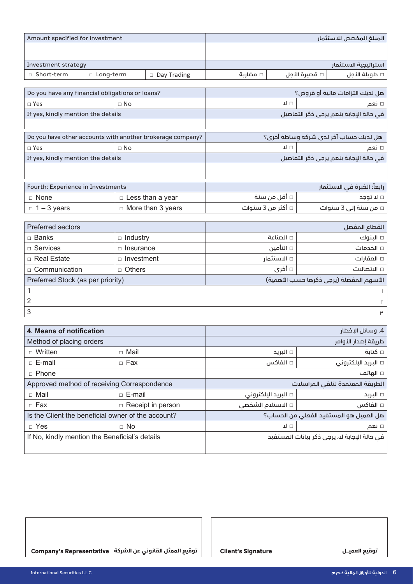| Amount specified for investment                 |             |           |                                                            |                                        |              | المبلغ المخصص للاستثمار |                                        |
|-------------------------------------------------|-------------|-----------|------------------------------------------------------------|----------------------------------------|--------------|-------------------------|----------------------------------------|
|                                                 |             |           |                                                            |                                        |              |                         |                                        |
|                                                 |             |           |                                                            |                                        |              |                         |                                        |
| Investment strategy                             |             |           |                                                            |                                        |              |                         | استراتيجية الاستثمار                   |
| □ Short-term                                    | □ Long-term |           | $\Box$ Day Trading                                         | □ مضارىة                               |              | □ قصيرة الأجل           | □ طويلة الأجل                          |
|                                                 |             |           |                                                            |                                        |              |                         |                                        |
| Do you have any financial obligations or loans? |             |           |                                                            |                                        |              |                         | هل لديك التزامات مالية أو قروض؟        |
| $\Box$ Yes                                      | $\Box$ No   |           |                                                            | ᆚᄆ                                     |              |                         | □ نعم                                  |
| If yes, kindly mention the details              |             |           |                                                            | في حالة الإجابة بنعم يرجى ذكر التفاصيل |              |                         |                                        |
|                                                 |             |           |                                                            |                                        |              |                         |                                        |
|                                                 |             |           | Do you have other accounts with another brokerage company? |                                        |              |                         | هل لديك حساب آخر لدى شركة وساطة أخرى؟  |
| $\Box$ Yes                                      |             | $\Box$ No |                                                            |                                        | ⊡ ⊔          |                         | □ نعم                                  |
| If yes, kindly mention the details              |             |           |                                                            |                                        |              |                         | في حالة الإجابة بنعم يرجى ذكر التفاصيل |
|                                                 |             |           |                                                            |                                        |              |                         |                                        |
| Fourth: Experience in Investments               |             |           | رابعاً: الخبرة في الاستثمار                                |                                        |              |                         |                                        |
| $\Box$ None                                     |             |           | $\Box$ Less than a year                                    |                                        | □ أقل من سنة |                         | □ لا توجد                              |
| $\Box$ 1 – 3 years                              |             |           | $\Box$ More than 3 years                                   | □ أكثر من 3 سنوات                      |              |                         | □ من سنة إلى 3 سنوات                   |
|                                                 |             |           |                                                            |                                        |              |                         |                                        |

| Preferred sectors                 |                   |                                         | القطاع المفضل |  |
|-----------------------------------|-------------------|-----------------------------------------|---------------|--|
| □ Banks                           | $\Box$ Industry   | □ الصناعة                               | □ البنوك      |  |
| $\Box$ Services                   | Insurance         | □ التأمين                               | □ الخدمات     |  |
| □ Real Estate                     | $\Box$ Investment | □ الاستثمار                             | □ العقارات    |  |
| $\Box$ Communication              | $\Box$ Others     | □ أخرى                                  | □ الاتصالات   |  |
| Preferred Stock (as per priority) |                   | الأسهم المفضلة (يرجى ذكرها حسب الأهمية) |               |  |
|                                   |                   |                                         |               |  |
| 2                                 |                   |                                         |               |  |
| 3                                 |                   |                                         | ۳             |  |

| 4. Means of notification                           |                          | 4. وسائل البخطار                 |                                              |  |
|----------------------------------------------------|--------------------------|----------------------------------|----------------------------------------------|--|
| Method of placing orders                           |                          | طريقة إصدار الأوامر              |                                              |  |
| $\Box$ Written                                     | $\Box$ Mail              | □ الىرىد                         | ٰ □ كتاىة                                    |  |
| $\sqcap$ E-mail                                    | $\Box$ Fax               | □ الفاكس                         | □ البريد الإلكتروني                          |  |
| $\Box$ Phone                                       |                          |                                  | □ الهاتف                                     |  |
| Approved method of receiving Correspondence        |                          | الطريقة المعتمدة لتلقى المراسلات |                                              |  |
| $\Box$ Mail                                        | $\Box$ E-mail            | البريد الإلكتروني $\Box$         | ∣ □ البريد                                   |  |
| $\Box$ Fax                                         | $\Box$ Receipt in person | □ الاستلام الشخصي                | ∣ □ الفاكس                                   |  |
| Is the Client the beneficial owner of the account? |                          |                                  | هل العميل هو المستفيد الفعلى من الحساب؟      |  |
| $\Box$ Yes<br>$\Box$ No                            |                          | ╜□                               | ∣ □ نعم                                      |  |
| If No, kindly mention the Beneficial's details     |                          |                                  | في حالة الإجابة لا، يرجى ذكر بيانات المستفيد |  |
|                                                    |                          |                                  |                                              |  |

**توقيع العميــــل توقيع العميــــل Signature s'Client توقيع الممثل القانوني عن الشركة Representative s'Company**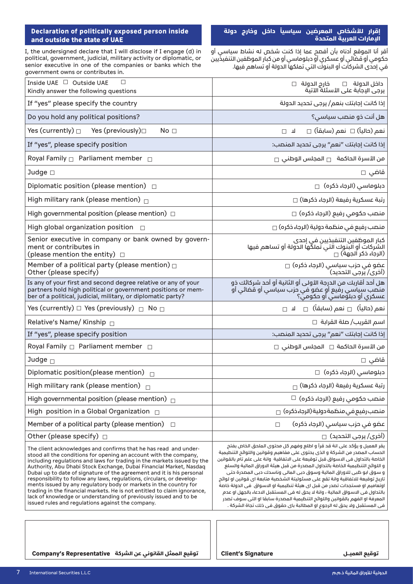#### **Declaration of politically exposed person inside** and outside the state of UAE

I, the undersigned declare that I will disclose if I engage (d) in political, government, judicial, military activity or diplomatic, or senior executive in one of the companies or banks which the government owns or contributes in.

#### **ً داخل وخارج دولة إقرار لألشخاص المعرضين سياسيا اإلمارات العربية المتحدة**

اقر انا الموقع ادناه بان افصح عما إذا كنت شخص له نشاط سياسي او حكومي أو قضائي أو عسكري أو دبلوماسي أو من كبار الموظفين التنفيذيين في إحدى الشركات أو البنوك التي تملكها الدولة أو تساهم فيها.

| Inside UAE □ Outside UAE<br>□<br>Kindly answer the following questions                                                                                                                                                                                                                                                                                                                                                                                                                                                                                                                                                                                                                                                | داخل الدولة □ خارج الدولة □<br>يرجى الإجابة على الأسئلة الآتية                                                                                                                                                                                                                                                                                                                                                                                                                                                                                                                                                                                                                                                                                                                                                  |
|-----------------------------------------------------------------------------------------------------------------------------------------------------------------------------------------------------------------------------------------------------------------------------------------------------------------------------------------------------------------------------------------------------------------------------------------------------------------------------------------------------------------------------------------------------------------------------------------------------------------------------------------------------------------------------------------------------------------------|-----------------------------------------------------------------------------------------------------------------------------------------------------------------------------------------------------------------------------------------------------------------------------------------------------------------------------------------------------------------------------------------------------------------------------------------------------------------------------------------------------------------------------------------------------------------------------------------------------------------------------------------------------------------------------------------------------------------------------------------------------------------------------------------------------------------|
| If "yes" please specify the country                                                                                                                                                                                                                                                                                                                                                                                                                                                                                                                                                                                                                                                                                   | إذا كانت إجابتك بنعم/ يرجى تحديد الدولة                                                                                                                                                                                                                                                                                                                                                                                                                                                                                                                                                                                                                                                                                                                                                                         |
| Do you hold any political positions?                                                                                                                                                                                                                                                                                                                                                                                                                                                                                                                                                                                                                                                                                  | هل أنت ذو منصب سياسي؟                                                                                                                                                                                                                                                                                                                                                                                                                                                                                                                                                                                                                                                                                                                                                                                           |
| Yes (currently) $\square$<br>Yes (previously)□<br>No <sub>1</sub>                                                                                                                                                                                                                                                                                                                                                                                                                                                                                                                                                                                                                                                     | نعم (حالياً) □ نعم (سابقاً) □<br>ᅟᆈ<br>$\Box$                                                                                                                                                                                                                                                                                                                                                                                                                                                                                                                                                                                                                                                                                                                                                                   |
| If "yes", please specify position                                                                                                                                                                                                                                                                                                                                                                                                                                                                                                                                                                                                                                                                                     | إذا كانت إجابتك "نعم" يرجى تحديد المنصب:                                                                                                                                                                                                                                                                                                                                                                                                                                                                                                                                                                                                                                                                                                                                                                        |
| Royal Family <sup>1</sup> Parliament member <sup>1</sup>                                                                                                                                                                                                                                                                                                                                                                                                                                                                                                                                                                                                                                                              | $_\Box$ من الأسرة الحاكمة $_\Box$ المجلس الوطنى                                                                                                                                                                                                                                                                                                                                                                                                                                                                                                                                                                                                                                                                                                                                                                 |
| Judge $\square$                                                                                                                                                                                                                                                                                                                                                                                                                                                                                                                                                                                                                                                                                                       | قاضي □                                                                                                                                                                                                                                                                                                                                                                                                                                                                                                                                                                                                                                                                                                                                                                                                          |
| Diplomatic position (please mention) $\Box$                                                                                                                                                                                                                                                                                                                                                                                                                                                                                                                                                                                                                                                                           | دبلوماسی (الرجاء ذکرہ) □                                                                                                                                                                                                                                                                                                                                                                                                                                                                                                                                                                                                                                                                                                                                                                                        |
| High military rank (please mention) $\Box$                                                                                                                                                                                                                                                                                                                                                                                                                                                                                                                                                                                                                                                                            | رتبة عسكرية رفيعة (الرجاء ذكرها) □                                                                                                                                                                                                                                                                                                                                                                                                                                                                                                                                                                                                                                                                                                                                                                              |
| High governmental position (please mention) $\Box$                                                                                                                                                                                                                                                                                                                                                                                                                                                                                                                                                                                                                                                                    | منصب حكومي رفيع (الرجاء ذكره) □                                                                                                                                                                                                                                                                                                                                                                                                                                                                                                                                                                                                                                                                                                                                                                                 |
| High global organization position $\Box$                                                                                                                                                                                                                                                                                                                                                                                                                                                                                                                                                                                                                                                                              | منصب رفيع في منظمة دولية (الرجاء ذكره) □                                                                                                                                                                                                                                                                                                                                                                                                                                                                                                                                                                                                                                                                                                                                                                        |
| Senior executive in company or bank owned by govern-<br>ment or contributes in<br>(please mention the entity) $\Box$                                                                                                                                                                                                                                                                                                                                                                                                                                                                                                                                                                                                  | كبار الموظفين التنفيخيين في إحدى<br>الشركات أو البنوك التي تملكَّها الدولة أو تساهم فيها<br>(الرجاء ذكر الجهة) $\Box$                                                                                                                                                                                                                                                                                                                                                                                                                                                                                                                                                                                                                                                                                           |
| Member of a political party (please mention) $\Box$<br>Other (please specify)                                                                                                                                                                                                                                                                                                                                                                                                                                                                                                                                                                                                                                         | عضو في حزب سياسي (الرجاء ذكره) □<br>(أخرى/ يرجى التحديد)                                                                                                                                                                                                                                                                                                                                                                                                                                                                                                                                                                                                                                                                                                                                                        |
| Is any of your first and second degree relative or any of your<br>partners hold high political or government positions or mem-<br>ber of a political, judicial, military, or diplomatic party?                                                                                                                                                                                                                                                                                                                                                                                                                                                                                                                        | هل أحد أقاربك من الدرجة الأولى أو الثانية أو أحد شركائك ذو<br>منصب سياسي رفيع أو عضو في حزب سياسي أو قضائى أو<br>عسكري أو دبلوماسي أو حكومي؟                                                                                                                                                                                                                                                                                                                                                                                                                                                                                                                                                                                                                                                                    |
| Yes (currently) $\Box$ Yes (previously) $\Box$ No $\Box$                                                                                                                                                                                                                                                                                                                                                                                                                                                                                                                                                                                                                                                              | نعم (حالياً) $\Box$ نعم (سابقاً) $\Box$ لا $\Box$                                                                                                                                                                                                                                                                                                                                                                                                                                                                                                                                                                                                                                                                                                                                                               |
| Relative's Name/ Kinship $\Box$                                                                                                                                                                                                                                                                                                                                                                                                                                                                                                                                                                                                                                                                                       | اسم القريب∕ صلة القرابة  □                                                                                                                                                                                                                                                                                                                                                                                                                                                                                                                                                                                                                                                                                                                                                                                      |
| If "yes", please specify position                                                                                                                                                                                                                                                                                                                                                                                                                                                                                                                                                                                                                                                                                     | إذا كانت إجابتك "نعم" يرجى تحديد المنصب:                                                                                                                                                                                                                                                                                                                                                                                                                                                                                                                                                                                                                                                                                                                                                                        |
| Royal Family $\Box$ Parliament member $\Box$                                                                                                                                                                                                                                                                                                                                                                                                                                                                                                                                                                                                                                                                          | $\Box$ من الأسرة الحاكمة $\Box$ المجلس الوطنى                                                                                                                                                                                                                                                                                                                                                                                                                                                                                                                                                                                                                                                                                                                                                                   |
| Judge $\Box$                                                                                                                                                                                                                                                                                                                                                                                                                                                                                                                                                                                                                                                                                                          | قاضی □                                                                                                                                                                                                                                                                                                                                                                                                                                                                                                                                                                                                                                                                                                                                                                                                          |
| Diplomatic position(please mention) $\Box$                                                                                                                                                                                                                                                                                                                                                                                                                                                                                                                                                                                                                                                                            | دبلوماسی (الرجاء ذکرہ) □                                                                                                                                                                                                                                                                                                                                                                                                                                                                                                                                                                                                                                                                                                                                                                                        |
| High military rank (please mention) $\Box$                                                                                                                                                                                                                                                                                                                                                                                                                                                                                                                                                                                                                                                                            | رتبة عسكرية رفيعة (الرجاء ذكرها) $_\Box$                                                                                                                                                                                                                                                                                                                                                                                                                                                                                                                                                                                                                                                                                                                                                                        |
| High governmental position (please mention) $\Box$                                                                                                                                                                                                                                                                                                                                                                                                                                                                                                                                                                                                                                                                    | $\Box$ منصب حکومی رفیع (الرجاء ذکرہ) $\Box$                                                                                                                                                                                                                                                                                                                                                                                                                                                                                                                                                                                                                                                                                                                                                                     |
| High position in a Global Organization $\Box$                                                                                                                                                                                                                                                                                                                                                                                                                                                                                                                                                                                                                                                                         | منصب رفيع في منظمة دولية (الرجاء ذكره) □                                                                                                                                                                                                                                                                                                                                                                                                                                                                                                                                                                                                                                                                                                                                                                        |
| Member of a political party (please mention)<br>$\Box$                                                                                                                                                                                                                                                                                                                                                                                                                                                                                                                                                                                                                                                                | عضو في حزب سياسي (الرجاء ذكره)<br>$\Box$                                                                                                                                                                                                                                                                                                                                                                                                                                                                                                                                                                                                                                                                                                                                                                        |
| Other (please specify) $\Box$                                                                                                                                                                                                                                                                                                                                                                                                                                                                                                                                                                                                                                                                                         | (أفرى/ يرجى التحديد)  ∏                                                                                                                                                                                                                                                                                                                                                                                                                                                                                                                                                                                                                                                                                                                                                                                         |
| The client acknowledges and confirms that he has read and under-<br>stood all the conditions for opening an account with the company,<br>including regulations and laws for trading in the markets issued by the<br>Authority, Abu Dhabi Stock Exchange, Dubai Financial Market, Nasdag<br>Dubai up to date of signature of the agreement and it is his personal<br>responsibility to follow any laws, regulations, circulars, or develop-<br>ments issued by any regulatory body or markets in the country for<br>trading in the financial markets. He is not entitled to claim ignorance,<br>lack of knowledge or understanding of previously issued and to be<br>issued rules and regulations against the company. | يقر العميل و يؤكد على انة قد قرأ و اطلع وفهم كل محتوى الملحق الخاص بفتح<br>الحساب المصدر من الشركة و الذي يحتوي على مفاهيم وقوانين واللوائم التنطيمية<br>الخاصة بالتداول في الاسواق قبل توقيعة على الاتفاقية  وانة على علم تام بالقوانين<br>و اللوائح التنظيمية الخاصة بالتداول المصدرة من قبل هيئة الاوراق المالية والسلع<br>و سوق ابو ظبي للاوراق المالية وسوق دبي المالي وناسدك دبي المصدرة حتى<br>تاريخ توقيعة للاتفاقية وانة تقع على مسئوليتة الشخصية متابعة اي قوانين او لوائح<br>اوتعاميم او مستجدات تصدر من قبل اي هيئة تنظيمية او الاسواق  في الدولة خاصة<br>بالتداول في الاسواق المالية ، وانة لا يحق له في المستقبل الادعاء بالجهل او عدم<br>المعرفة او الفهم بالقوانين واللوائح التنظيمية المصدرة سابقا او التي سوف تصدر<br>في المستقبل ولا يحق له الرجوع او المطالبة باي حقوق في ذلك تجاة الشركة . |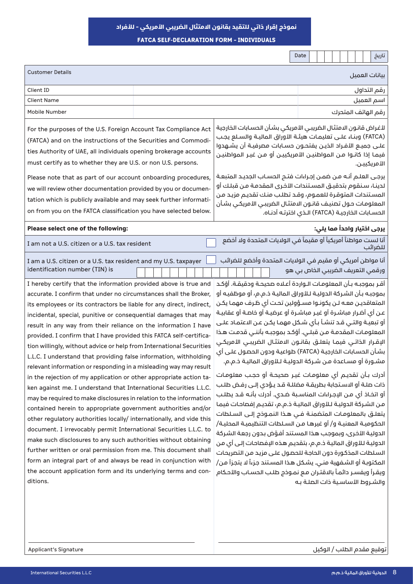**نموذج إقرار ذاتي للتقيد بقانون االمتثال الضريبي األمريكي – لألفراد** 

**FATCA SELF-DECLARATION FORM - INDIVIDUALS** 

|                                                                                                                                                                                                                                                                                                                                                                                                                                                                                                                                                                                                                                                                                                                                                                                                                                                                                                                                                                                                                                                                                                                                                                                                                                                                                                                                                                                                                                                                                                                                                                                                                                                                                                                                                                                                                                                                                                                                                                                                                                                                                                                           |  | تاریخ<br>Date                                                                                                                                                                                                                                                                                                                                                                                                                                                                                                                                                                                                                                                                                                                                                                                                                                                                                                                                                                                                                                                                                                                                                                                                                                                                                                                                                                                                                                                                                                                                                                                                                                                                                                                                                                                                                                                                                                                                                                                                                                                                                                                                                                                                                       |
|---------------------------------------------------------------------------------------------------------------------------------------------------------------------------------------------------------------------------------------------------------------------------------------------------------------------------------------------------------------------------------------------------------------------------------------------------------------------------------------------------------------------------------------------------------------------------------------------------------------------------------------------------------------------------------------------------------------------------------------------------------------------------------------------------------------------------------------------------------------------------------------------------------------------------------------------------------------------------------------------------------------------------------------------------------------------------------------------------------------------------------------------------------------------------------------------------------------------------------------------------------------------------------------------------------------------------------------------------------------------------------------------------------------------------------------------------------------------------------------------------------------------------------------------------------------------------------------------------------------------------------------------------------------------------------------------------------------------------------------------------------------------------------------------------------------------------------------------------------------------------------------------------------------------------------------------------------------------------------------------------------------------------------------------------------------------------------------------------------------------------|--|-------------------------------------------------------------------------------------------------------------------------------------------------------------------------------------------------------------------------------------------------------------------------------------------------------------------------------------------------------------------------------------------------------------------------------------------------------------------------------------------------------------------------------------------------------------------------------------------------------------------------------------------------------------------------------------------------------------------------------------------------------------------------------------------------------------------------------------------------------------------------------------------------------------------------------------------------------------------------------------------------------------------------------------------------------------------------------------------------------------------------------------------------------------------------------------------------------------------------------------------------------------------------------------------------------------------------------------------------------------------------------------------------------------------------------------------------------------------------------------------------------------------------------------------------------------------------------------------------------------------------------------------------------------------------------------------------------------------------------------------------------------------------------------------------------------------------------------------------------------------------------------------------------------------------------------------------------------------------------------------------------------------------------------------------------------------------------------------------------------------------------------------------------------------------------------------------------------------------------------|
| <b>Customer Details</b>                                                                                                                                                                                                                                                                                                                                                                                                                                                                                                                                                                                                                                                                                                                                                                                                                                                                                                                                                                                                                                                                                                                                                                                                                                                                                                                                                                                                                                                                                                                                                                                                                                                                                                                                                                                                                                                                                                                                                                                                                                                                                                   |  | بيانات العميل                                                                                                                                                                                                                                                                                                                                                                                                                                                                                                                                                                                                                                                                                                                                                                                                                                                                                                                                                                                                                                                                                                                                                                                                                                                                                                                                                                                                                                                                                                                                                                                                                                                                                                                                                                                                                                                                                                                                                                                                                                                                                                                                                                                                                       |
| Client ID                                                                                                                                                                                                                                                                                                                                                                                                                                                                                                                                                                                                                                                                                                                                                                                                                                                                                                                                                                                                                                                                                                                                                                                                                                                                                                                                                                                                                                                                                                                                                                                                                                                                                                                                                                                                                                                                                                                                                                                                                                                                                                                 |  | رقم التداول                                                                                                                                                                                                                                                                                                                                                                                                                                                                                                                                                                                                                                                                                                                                                                                                                                                                                                                                                                                                                                                                                                                                                                                                                                                                                                                                                                                                                                                                                                                                                                                                                                                                                                                                                                                                                                                                                                                                                                                                                                                                                                                                                                                                                         |
| <b>Client Name</b>                                                                                                                                                                                                                                                                                                                                                                                                                                                                                                                                                                                                                                                                                                                                                                                                                                                                                                                                                                                                                                                                                                                                                                                                                                                                                                                                                                                                                                                                                                                                                                                                                                                                                                                                                                                                                                                                                                                                                                                                                                                                                                        |  | اسم العميل                                                                                                                                                                                                                                                                                                                                                                                                                                                                                                                                                                                                                                                                                                                                                                                                                                                                                                                                                                                                                                                                                                                                                                                                                                                                                                                                                                                                                                                                                                                                                                                                                                                                                                                                                                                                                                                                                                                                                                                                                                                                                                                                                                                                                          |
| Mobile Number                                                                                                                                                                                                                                                                                                                                                                                                                                                                                                                                                                                                                                                                                                                                                                                                                                                                                                                                                                                                                                                                                                                                                                                                                                                                                                                                                                                                                                                                                                                                                                                                                                                                                                                                                                                                                                                                                                                                                                                                                                                                                                             |  | رقم الهاتف المتحرك                                                                                                                                                                                                                                                                                                                                                                                                                                                                                                                                                                                                                                                                                                                                                                                                                                                                                                                                                                                                                                                                                                                                                                                                                                                                                                                                                                                                                                                                                                                                                                                                                                                                                                                                                                                                                                                                                                                                                                                                                                                                                                                                                                                                                  |
| For the purposes of the U.S. Foreign Account Tax Compliance Act<br>(FATCA) and on the instructions of the Securities and Commodi-<br>ties Authority of UAE, all individuals opening brokerage accounts<br>must certify as to whether they are U.S. or non U.S. persons.<br>Please note that as part of our account onboarding procedures,<br>we will review other documentation provided by you or documen-<br>tation which is publicly available and may seek further informati-<br>on from you on the FATCA classification you have selected below.<br>Please select one of the following:<br>I am not a U.S. citizen or a U.S. tax resident<br>I am a U.S. citizen or a U.S. tax resident and my U.S. taxpayer<br>identification number (TIN) is<br>I hereby certify that the information provided above is true and<br>accurate. I confirm that under no circumstances shall the Broker,<br>its employees or its contractors be liable for any direct, indirect,<br>incidental, special, punitive or consequential damages that may<br>result in any way from their reliance on the information I have<br>provided. I confirm that I have provided this FATCA self-certifica-<br>tion willingly, without advice or help from International Securities<br>L.L.C. I understand that providing false information, withholding<br>relevant information or responding in a misleading way may result<br>in the rejection of my application or other appropriate action ta-<br>ken against me. I understand that International Securities L.L.C.<br>may be required to make disclosures in relation to the information<br>contained herein to appropriate government authorities and/or<br>other regulatory authorities locally/ internationally, and vide this<br>document. I irrevocably permit International Securities L.L.C. to<br>make such disclosures to any such authorities without obtaining<br>further written or oral permission from me. This document shall<br>form an integral part of and always be read in conjunction with<br>the account application form and its underlying terms and con-<br>ditions. |  | لأغراض قانون الامتثال الضريبى الأمريكى بشأن الحسابات الخارجية<br>(FATCA) وبنـاء علـى تعليمـات هيئـة الأوراق الماليـة والسـلع يجـب<br>علـى جميـع الأفـراد الذيـن يفتحــون حســابات مصرفيـة أن يشــهدوا<br>فيمـا إذا كانـوا مـن المواطنيـن الأمريكييـن أو مـن غيـر المواطنيـن<br>الأمريكييـن.<br>يرجى العلـم أنـه مـن ضمـن إجـراءات فتـم الحسـاب الجديـد المتبعـة<br>لدينـا، سـنقوم بتدقيـق المسـتندات الأخرى المقدمـة مـن قبلـك أو<br>المستندات المتوقرة للعموم، وقد تطلب منك تقديم مزيد من<br>المعلومات حول تصنيف قانون الامتثال الضريبى الأمريكى بشأن<br>الحسـابات الخارجيــة (FATCA) الــذي اخترتــه أدنــاه.<br>يرجى اختيار واحداً مما يلي:<br>أنا لست مواطناً أمريكياً أو مقيماً في الولايات المتحدة ولا أخضع<br>للضرائب<br>أنا مواطن أمريكي أو مقيم في الولايات المتحدة وأخضع للضرائب<br>ورقمي التعريف الضريبي الخاص بي هو<br>أقـر بموجبـه بـأن المعلومـات الـواردة أعـلاه صحيحـة ودقيقـة. أؤكـد<br>بموجبـه بـأن الشـركة الدوليـة لـلأوراق الماليـة ذ.م.م، أو موظفيـه أو<br>المتعاقدين معـه لـن يكونـوا مسـؤولين تحـت أى ظـرف مهمـا يكـن<br>عن أي أضرار مباشـرة أو غيـر مباشـرة أو عرضيـة أو خاصـة أو عقابيـة<br>أو تبعيـة والتـى قـد تنشـأ بـأى شـكل مهمـا يكـن عـن الاعتمـاد علـى<br>المعلومات المقدمة من قبلـي. أؤكـد بموجبـه بأننـي قدمـت هـذا<br>الإقـرار الذاتـي فيمـا يتعلـق بقانـون الامتثـال الضريبـي الأمريكـي<br>بشأن الحسابات الخارجية (FATCA) طواعية ودون الحصول على أي<br>مشـورة أو مسـاعدة مـن شـركة الدوليـة لـلأوراق الماليـة ذ.م.م.<br>أدرك بـأن تقديـم أي معلومـات غيـر صحيحـة أو حجـب معلومـات<br>ذات صلـة أو الاسـتجابة بطريقـة مضللـة قـد يـؤدى إلـى رفـض طلـب<br>أو اتخاذ أي مـن الإجـراءات المناسـبة ضـدي. أدرك بأنـه قـد يطلـب<br>من الشركة الدولية لـلأوراق المالية ذ.م.م، تقديم إفصاحات فيما<br>يتعلـق بالمعلومـات المتضمنـة فـي هـذا النمـوذج إلـي الســلطات<br>الحكومية المعنيـة و/ أو غيرهـا مـن السـلطات التنظيميـة المحليـة/<br>الدولية الأخرى، وبموجب هذا المستند أفـوّض بدون رجعة الشركة<br>الدولية للأوراق المالية ذ.م.م، بتقديم هذه الإفصاحات إلى أي من<br>السلطات المذكورة دون الحاجة للحصول على مزيد من التصريحات<br>المكتوبة أو الشفهية مني. يشكل هذا المستند جزءاً لا يتجزأ من/<br>ويقـرأ ويفسـر دائمـاً بالاقتـران مـع نمـوذج طلـب الحسـاب والأحـكام<br>والشروط الأساسية ذات الصلة به |
|                                                                                                                                                                                                                                                                                                                                                                                                                                                                                                                                                                                                                                                                                                                                                                                                                                                                                                                                                                                                                                                                                                                                                                                                                                                                                                                                                                                                                                                                                                                                                                                                                                                                                                                                                                                                                                                                                                                                                                                                                                                                                                                           |  |                                                                                                                                                                                                                                                                                                                                                                                                                                                                                                                                                                                                                                                                                                                                                                                                                                                                                                                                                                                                                                                                                                                                                                                                                                                                                                                                                                                                                                                                                                                                                                                                                                                                                                                                                                                                                                                                                                                                                                                                                                                                                                                                                                                                                                     |

توقيع مقدم الطلب / الوكيل Signature s'Applicant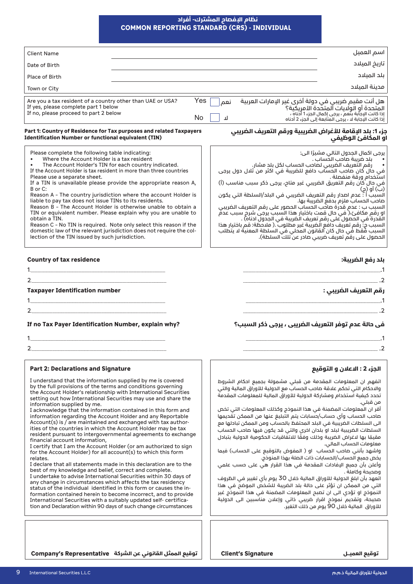### **COMMON REPORTING STANDARD (CRS) - INDIVIDUAL نظام اإلفصاح المشترك- أفراد**

| <b>Client Name</b>                                                                                                                                                                                                                                                                                                                                                                                                                                                                                                                                                                                                                                                                                                                                                                                                                                                                                                                                                                                                                                                                                                                                                                                                                                                                                                                                                      |                                                      |           |                                                                                                                                                                                                                                                                                                                                                                                                                                                                                                                                                                                                                                                                                                                                                                                                                                                                                                                                                                                                     | اسم العميل                                                                                                                                                                                              |
|-------------------------------------------------------------------------------------------------------------------------------------------------------------------------------------------------------------------------------------------------------------------------------------------------------------------------------------------------------------------------------------------------------------------------------------------------------------------------------------------------------------------------------------------------------------------------------------------------------------------------------------------------------------------------------------------------------------------------------------------------------------------------------------------------------------------------------------------------------------------------------------------------------------------------------------------------------------------------------------------------------------------------------------------------------------------------------------------------------------------------------------------------------------------------------------------------------------------------------------------------------------------------------------------------------------------------------------------------------------------------|------------------------------------------------------|-----------|-----------------------------------------------------------------------------------------------------------------------------------------------------------------------------------------------------------------------------------------------------------------------------------------------------------------------------------------------------------------------------------------------------------------------------------------------------------------------------------------------------------------------------------------------------------------------------------------------------------------------------------------------------------------------------------------------------------------------------------------------------------------------------------------------------------------------------------------------------------------------------------------------------------------------------------------------------------------------------------------------------|---------------------------------------------------------------------------------------------------------------------------------------------------------------------------------------------------------|
| Date of Birth                                                                                                                                                                                                                                                                                                                                                                                                                                                                                                                                                                                                                                                                                                                                                                                                                                                                                                                                                                                                                                                                                                                                                                                                                                                                                                                                                           |                                                      |           |                                                                                                                                                                                                                                                                                                                                                                                                                                                                                                                                                                                                                                                                                                                                                                                                                                                                                                                                                                                                     | تاريخ الميلاد                                                                                                                                                                                           |
| <b>Place of Birth</b>                                                                                                                                                                                                                                                                                                                                                                                                                                                                                                                                                                                                                                                                                                                                                                                                                                                                                                                                                                                                                                                                                                                                                                                                                                                                                                                                                   |                                                      |           |                                                                                                                                                                                                                                                                                                                                                                                                                                                                                                                                                                                                                                                                                                                                                                                                                                                                                                                                                                                                     | بلد الميلاد                                                                                                                                                                                             |
| Town or City                                                                                                                                                                                                                                                                                                                                                                                                                                                                                                                                                                                                                                                                                                                                                                                                                                                                                                                                                                                                                                                                                                                                                                                                                                                                                                                                                            |                                                      |           |                                                                                                                                                                                                                                                                                                                                                                                                                                                                                                                                                                                                                                                                                                                                                                                                                                                                                                                                                                                                     | مدينة الميلاد                                                                                                                                                                                           |
| Are you a tax resident of a country other than UAE or USA?<br>If yes, please complete part 1 below<br>If no, please proceed to part 2 below                                                                                                                                                                                                                                                                                                                                                                                                                                                                                                                                                                                                                                                                                                                                                                                                                                                                                                                                                                                                                                                                                                                                                                                                                             |                                                      | Yes<br>No | هل أنت مقيم ضريبي في دولة أخرى غير الإمارات العربية<br>نعم<br>П                                                                                                                                                                                                                                                                                                                                                                                                                                                                                                                                                                                                                                                                                                                                                                                                                                                                                                                                     | المتحدة أو الولايات المتحَّدة الأمريكية؟<br>إذا كانت البجابة بنَّعم ، يرجى إكمال الجزء 1 أدَّناه ،<br>أِذَا كَانَتَ الْإِجَابَةَ لَا ، يَرْجِي الْمَتَابِعَةَ إِلَى الْجَزِءِ 2 أَدْنَاه                |
| Part 1: Country of Residence for Tax purposes and related Taxpayers<br><b>Identification Number or functional equivalent (TIN)</b>                                                                                                                                                                                                                                                                                                                                                                                                                                                                                                                                                                                                                                                                                                                                                                                                                                                                                                                                                                                                                                                                                                                                                                                                                                      |                                                      |           | جزء 1: بلد الإقامة للأغراض الضريبية ورقم التعريف الضريبي                                                                                                                                                                                                                                                                                                                                                                                                                                                                                                                                                                                                                                                                                                                                                                                                                                                                                                                                            | او المكافئ الوظيفي                                                                                                                                                                                      |
| Please complete the following table indicating:<br>$\bullet$<br>Where the Account Holder is a tax resident<br>If the Account Holder is tax resident in more than three countries<br>Please use a separate sheet.<br>If a TIN is unavailable please provide the appropriate reason A,<br>B or C:<br>Reason A - The country jurisdiction where the account Holder is<br>liable to pay tax does not issue TINs to its residents.<br>Reason B - The Account Holder is otherwise unable to obtain a<br>TIN or equivalent number. Please explain why you are unable to<br>obtain a TIN.<br>Reason C - No TIN is required. Note only select this reason if the<br>domestic law of the relevant jurisdiction does not require the col-<br>lection of the TIN issued by such jurisdiction.                                                                                                                                                                                                                                                                                                                                                                                                                                                                                                                                                                                       | The Account Holder's TIN for each country indicated. |           | استخدام ورقة منفصلة .<br>في جال كان رقم التعريق الضريبي عير متاح، يرجى ذكر سبب مناسب (أ)<br>رب) ،و ربي<br>السبب أ : عدم اصدار رقم التعريف الضريبي في البلد/السلطة التي يكون<br>السبب ب : عدم قدرة حاحب الحساب الحصور على رقم التعريف الضريبي<br>او رقم مكافئ،( في حال قمت باختيار هذا السبب يرجي شرح سبب عدمٌ<br>الْقَدَرة في الحَمول على رقم تعريف الُضريبة في الجدُول ادناه) .<br>السبب ۾: رقم تعريف دافع الضريبة غير مطلوب ̆.( ملاحظة: قم باختيار هذا<br>السبب فَقط في حال كان القانون المحلي في السلطة المعنية لا يتطلب                                                                                                                                                                                                                                                                                                                                                                                                                                                                         | يرجى اكمال الجدول التالي مشيرًا الي:<br>بلد ضريبة صاحب الحّساب .<br>استخدام ورقة منفصلة .<br>(بَ) أو (ج)<br>صاحب الحساب ملزم بدفع الضريبة بها.<br>الحصول على رقمٌ تعريفٌ ضريبي هادر عن َّتلكَّ السلطة). |
| <b>Country of tax residence</b>                                                                                                                                                                                                                                                                                                                                                                                                                                                                                                                                                                                                                                                                                                                                                                                                                                                                                                                                                                                                                                                                                                                                                                                                                                                                                                                                         |                                                      |           |                                                                                                                                                                                                                                                                                                                                                                                                                                                                                                                                                                                                                                                                                                                                                                                                                                                                                                                                                                                                     | بلد رفع الضريبة:                                                                                                                                                                                        |
|                                                                                                                                                                                                                                                                                                                                                                                                                                                                                                                                                                                                                                                                                                                                                                                                                                                                                                                                                                                                                                                                                                                                                                                                                                                                                                                                                                         |                                                      |           |                                                                                                                                                                                                                                                                                                                                                                                                                                                                                                                                                                                                                                                                                                                                                                                                                                                                                                                                                                                                     |                                                                                                                                                                                                         |
| <b>Taxpayer Identification number</b>                                                                                                                                                                                                                                                                                                                                                                                                                                                                                                                                                                                                                                                                                                                                                                                                                                                                                                                                                                                                                                                                                                                                                                                                                                                                                                                                   |                                                      |           |                                                                                                                                                                                                                                                                                                                                                                                                                                                                                                                                                                                                                                                                                                                                                                                                                                                                                                                                                                                                     | رقم التعريف الضريبي :                                                                                                                                                                                   |
|                                                                                                                                                                                                                                                                                                                                                                                                                                                                                                                                                                                                                                                                                                                                                                                                                                                                                                                                                                                                                                                                                                                                                                                                                                                                                                                                                                         |                                                      |           |                                                                                                                                                                                                                                                                                                                                                                                                                                                                                                                                                                                                                                                                                                                                                                                                                                                                                                                                                                                                     |                                                                                                                                                                                                         |
| If no Tax Payer Identification Number, explain why?<br>2.                                                                                                                                                                                                                                                                                                                                                                                                                                                                                                                                                                                                                                                                                                                                                                                                                                                                                                                                                                                                                                                                                                                                                                                                                                                                                                               |                                                      |           | في حالة عدم توفر التعريف الضريبي ، يرجى ذكر السبب؟                                                                                                                                                                                                                                                                                                                                                                                                                                                                                                                                                                                                                                                                                                                                                                                                                                                                                                                                                  | .2                                                                                                                                                                                                      |
| <b>Part 2: Declarations and Signature</b>                                                                                                                                                                                                                                                                                                                                                                                                                                                                                                                                                                                                                                                                                                                                                                                                                                                                                                                                                                                                                                                                                                                                                                                                                                                                                                                               |                                                      |           |                                                                                                                                                                                                                                                                                                                                                                                                                                                                                                                                                                                                                                                                                                                                                                                                                                                                                                                                                                                                     | الجزء 2 : الاعلان و التوقيع                                                                                                                                                                             |
| I understand that the information supplied by me is covered<br>by the full provisions of the terms and conditions governing<br>the Account Holder's relationship with International Securities<br>setting out how International Securities may use and share the<br>information supplied by me.<br>I acknowledge that the information contained in this form and<br>information regarding the Account Holder and any Reportable<br>Account(s) is / are maintained and exchanged with tax author-<br>ities of the countries in which the Account Holder may be tax<br>resident pursuant to intergovernmental agreements to exchange<br>financial account information,<br>I certify that I am the Account Holder (or am authorized to sign<br>for the Account Holder) for all account(s) to which this form<br>relates.<br>I declare that all statements made in this declaration are to the<br>best of my knowledge and belief, correct and complete.<br>I undertake to advise International Securities within 30 days of<br>any change in circumstances which affects the tax residency<br>status of the individual identified in this form or causes the in-<br>formation contained herein to become incorrect, and to provide<br>International Securities with a suitably updated self-certifica-<br>tion and Declaration within 90 days of such change circumstances |                                                      |           | اتفهم ان المعلومات المقدمة من قبلي مشمولة بجميع احكام الشروط<br>والاحكام التي تحكم علاقة صاحب الحساب مع الدولية للأوراق المالية والتي<br>تحدد كيفية استخدام ومشاركة الدولية للأوراق المالية للمعلومات المقدمة<br>أقر ان المعلومات المضمنة في هذا النموذج وكذلك المعلومات التي تخص<br>صاحب الحساب وأي حساب/حسابات يتم التبليغ عنها من الممكن تقديمها<br>الى السلطات الضريبية في البلد المحتفظ بالحساب ومن الممكن تبادلها مع<br>السلطات الضريبية لبلد او بلدان اخرى والتى قد يكون فيها صاحب الحساب<br>مقيمًا بها لاغراض الضريبة وذلك وفقًا للاتفاقيات الحكومية الدولية بتبادل<br>واشهد بأنني صاحب الحساب  او ( المفوض بالتوقيع على الحساب) فيما<br>وأعلن بأن جميع الإفادات المقدمة في هذا القرار هي على حسب علمي<br>اتعهد بأن ابلغ الدولية للأوراق المالية خلال 30 يوم بأي تغيير في الظروف<br>التي من الممكن ان تؤثر على حالة بلد الضريبة للشخص الموضحٌ في هذا<br>النموذج او تؤدي الى ان تصبح المعلومات المضمنة في هذا النموذج غير<br>صحيحة، وتقديم نموذح اقرار ضريبي ذاتي وإعلان مناسبين الى الدولية | من قبلي.<br>معلومات الحساب المالى.<br>يخص جميع الحساب/الحسابات ذات الصلة بهذا المنوذج.<br>وصحيحة وكاملة .<br>للأوراق  المالية خلال 90 يوم من ذلك التغير.                                                |
| توقيع الممثل القانوني عن الشركة Company's Representative                                                                                                                                                                                                                                                                                                                                                                                                                                                                                                                                                                                                                                                                                                                                                                                                                                                                                                                                                                                                                                                                                                                                                                                                                                                                                                                |                                                      |           | <b>Client's Signature</b>                                                                                                                                                                                                                                                                                                                                                                                                                                                                                                                                                                                                                                                                                                                                                                                                                                                                                                                                                                           | توقيع العميــل                                                                                                                                                                                          |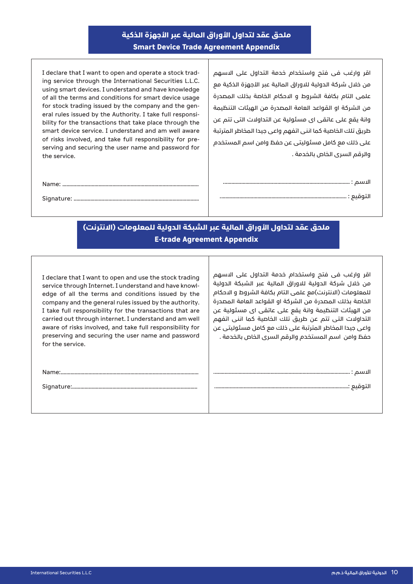# **ملحق عقد لتداول األوراق المالية عبر األجهزة الذكية Smart Device Trade Agreement Appendix**

ing service through the International Securities L.L.C. I declare that I want to open and operate a stock tradusing smart devices. I understand and have knowledge of all the terms and conditions for smart device usage bility for the transactions that take place through the eral rules issued by the Authority. I take full responsifor stock trading issued by the company and the gensmart device service. I understand and am well aware serving and securing the user name and password for of risks involved, and take full responsibility for prethe service.

اقر وارغب فى فتح واستخدام خدمة التداول على االسهم من خلال شركة الدولية للاوراق المالية عبر الأجهزة الذكية مع علمى التام بكافة الشروط و االحكام الخاصة بذلك المصدرة من الشركة او القواعد العامة المصدرة من الهيئات التنظيمة وانة يقع على عاتقى اى مسئولية عن التداوالت التى تتم عن طريق تلك الخاصية كما اننى اتفهم واعى جيدا المخاطر المترتبة على ذلك مع كامل مسئوليتى عن حفظ وامن اسم المستخدم والرقم السرى الخاص بالخدمة .

.................................................................................................. :Name

.......................................................................................... :Signature

# **ملحق عقد لتداول األوراق المالية عبر الشبكة الدولية للمعلومات )االنترنت( E-trade Agreement Appendix**

اقر وارغب فى فتح واستخدام خدمة التداول على االسهم من خلال شركة الدولية للاوراق المالية عبر الشبكة الدولية للمعلومات (الانترنت)مع علمى التام بكافة الشروط و الاحكام الخاصة بذلك المصدرة من الشركة او القواعد العامة المصدرة من الهيئات التنظيمة وانة يقع على عاتقى اى مسئولية عن التداوالت التى تتم عن طريق تلك الخاصية كما اننى اتفهم واعى جيدا المخاطر المترتبة على ذلك مع كامل مسئوليتى عن حفظ وامن اسم المستخدم والرقم السرى الخاص بالخدمة .

االسم : ..................................................................................................

التوقيع ................................................................................................:

I declare that I want to open and use the stock trading edge of all the terms and conditions issued by the service through Internet. I understand and have knowlcompany and the general rules issued by the authority. I take full responsibility for the transactions that are carried out through internet. I understand and am well aware of risks involved, and take full responsibility for preserving and securing the user name and password for the service.

:...................................................................................................Name

:..........................................................................................Signature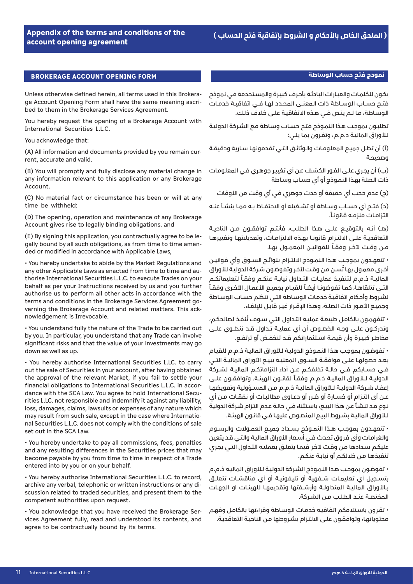#### **BROKERAGE ACCOUNT OPENING FORM**

ge Account Opening Form shall have the same meaning ascri-<br>bed to them in the Brokerage Services Agreement. Unless otherwise defined herein, all terms used in this Brokera-<br>ge Account Opening Form shall have the same meaning ascri-Unless otherwise defined herein, all terms used in this Brokera-

You hereby request the opening of a Brokerage Account with International Securities L.L.C.

You acknowledge that:

(A) All information and documents provided by you remain cur-<br>rent, accurate and valid.

(B) You will promptly and fully disclose any material change in any information relevant to this application or any Brokerage Account.

(C) No material fact or circumstance has been or will at any time he withheld<sup>.</sup>

(D) The opening, operation and maintenance of any Brokerage Account gives rise to legally binding obligations. and

gally bound by all such obligations, as from time to time amen-<br>ded or modified in accordance with Applicable Laws, (E) By signing this application, you contractually agree to be le-<br>gally bound by all such obligations, as from time to time amen-(E) By signing this application, you contractually agree to be le-

• You hereby undertake to abide by the Market Regulations and thorise International Securities L.L.C. to execute Trades on your any other Applicable Laws as enacted from time to time and aubehalf as per your Instructions received by us and you further authorise us to perform all other acts in accordance with the verning the Brokerage Account and related matters. This ack-<br>nowledgement is Irrevocable. terms and conditions in the Brokerage Services Agreement go-<br>verning the Brokerage Account and related matters. This ackterms and conditions in the Brokerage Services Agreement go-

• You understand fully the nature of the Trade to be carried out by you. In particular, you understand that any Trade can involve significant risks and that the value of your investments may go down as well as up.

• You hereby authorise International Securities L.LC. to carry out the sale of Securities in your account, after having obtained the approval of the relevant Market, if you fail to settle your rities L.LC. not responsible and indemnify it against any liability, dance with the SCA Law. You agree to hold International Secufinancial obligations to International Securities L.L.C. in accorloss, damages, claims, lawsuits or expenses of any nature which nal Securities L.L.C. does not comply with the conditions of sale may result from such sale, except in the case where Internatioset out in the SCA Law.

• You hereby undertake to pay all commissions, fees, penalties and any resulting differences in the Securities prices that may become payable by you from time to time in respect of a Trade entered into by you or on your behalf.

• You hereby authorise International Securities L.L.C. to record, scussion related to traded securities, and present them to the archive any verbal, telephonic or written instructions or any dicompetent authorities upon request.

vices Agreement fully, read and understood its contents, and • You acknowledge that you have received the Brokerage Seragree to be contractually bound by its terms.

## **نمودج فتح حساب الوساطة**

يكـون للكلمـات والعبـارات البادئـة بأحـرف كبيـرة والمسـتخدمة في نموذج .<br>فتــح حســاب الـوســاطة ذات المعنــى المحــدد لهـا فــي اتفاقيــة خدمـات الوسـاطة، مـا لـم ينـص فـي هـذه االتفاقيـة علـى خـاف ذلـك.

تطلبـون بموجب هـذا النمـوذج فتـح حسـاب وسـاطة مـع الشركة الدوليـة لـأوراق الماليـة ذ.م.م، وتقـرون بمـا يلـي:

)أ( أن تظـل جميـع المعلومـات والوثائـق التـي تقدمونهـا سـارية ودقيقـة وصحيحـة

)ب( أن يجـري علـى الفـور الكشـف عـن أي تغييـر جوهـري فـي المعلومـات ذات الصلـة بهـذا النمـوذج أو أي حسـاب وسـاطة

)ج( عدم حجب أي حقيقة أو حدث جوهري في أي وقت من األوقات

)د( فتــح أي حســاب وســاطة أو تشــغيله أو االحتفــاظ بــه ممــا ينشــأ عنــه التزامـات ملزمـه قانونـاً.

(هـ) أنـه بالتوقيـم علـى هــذا الطلـب، فأنتـم توافقــون مــن الناحيــة التعاقديــة علــى االلتــزام قانونــا بهــذه االلتزامــات، وتعديالتهــا وتغييرهــا مـن وقـت لآخـر وفقـاً للقوانيـن المعمــول بهـا.

 تتعهــدون بموجــب هــذا النمــوذج االلتــزام بلوائــح الســوق وأي قوانيــن أخرى معمول بها تُسن من وقت لآخر وتفوضون شركة الدولية للأوراق الماليــة ذ.م.م لتنفيــذ عمليـات التــداول نيابــة عنكــم وفقــاً لتعليماتكــم ً التــى تتلقاهــا، كمـا تفوضونــا أيضـاً للقيــام بجميــع الأعمــال الأخـرى وفقـاً لشـروط وأحـكام اتفاقيـة خدمـات الوسـاطة التـي تنظـم حسـاب الوسـاطة وجميـع الأمـور ذات الـصلـة، وهـذا الإقـرار غيـر قابـل للإلغـاء.

· تتفهمـون بالكامـل طبيعـة عمليـة التـداول التـي سـوف تُنفـذ لـصالحكـم، وتدركــون علــى وجــه الخصــوص أن أي عمليــة تــداول قــد تنطــوي علــى مخاطــر كبيــرة وأن قيمــة اســتثماراتكم قــد تنخفــض أو ترتفــع.

 تفوضـون بموجـب هـذا النمـوذج الدوليـة لـأوراق الماليـة ذ.م.م للقيـام بعــد حصولهــا علــى موافقــة الســوق المعنيــة ببيــع األوراق الماليــة التــي فــي حســابكم فــي حالــة تخلفكــم عــن أداء التزاماتكــم الماليــة لشــركة الدوليــة لــلأوراق الـماليــة ذ.م.م وفقــاً لـقانــون الهيئــة. وتوافقــون علــى إعفـاء شـركة الدوليـة لـلأوراق الماليـة ذ.م.م مـن المســؤولية وتعويضهـا عــن أي التــزام أو خســارة أو ضــرر أو دعــاوى مطالبــات أو نفقــات مــن أي نـوع قـد تنشـأ عـن هـذا البيـع، باسـتثناء فـي حالـة عـدم التـزام شـركة الدولية لـأوراق الماليـة بشـروط البيـع المنصـوص عليهـا فـي قانـون الهيئـة.

 تتعهــدون بموجــب هــذا النمــوذج بســداد جميــع العمــوالت والرســوم والغرامـات وأي فـروق تحـدث فـي أسـعار األوراق الماليـة والتـي قـد يتعين عليكـم سـدادها مـن وقـت آلخـر فيمـا يتعلـق بعمليـه التـداول التـي يجـري تنفيذهـا مـن خاللكـم أو نيابـة عنكـم.

 تفوضـون بموجـب هـذا النمـوذج الشـركة الدوليـة لـأوراق الماليـة ذ.م.م بتســجيل أي تعليمــات شــفهية أو تليفونيــة أو أي مناقشــات تتعلــق بـالأوراق الماليـة المتداولــة وأرشــفتها وتقديمهـا للهيئـات او الجهـات المختصــة عنــد الطلــب مــن الشــركة.

 تقـرون باسـتالمكم اتفاقيـه خدمـات الوسـاطة وقراءتهـا بالكامـل وفهـم محتوياتهـا، وتوافقـون علـى االلتـزام بشـروطها مـن الناحيـة التعاقديـة.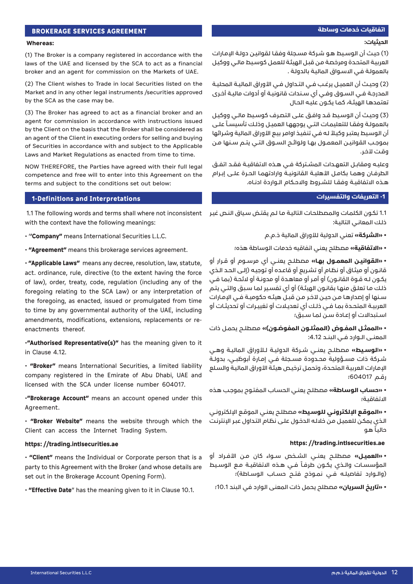#### **اتفاقيات خدمات وساطة**

## **الحيثيات:**

# )1( حيـث أن الوسـيط هـو شـركة مسـجلة وفقـا لقوانيـن دولـة اإلمـارات العربيـة المتحـدة ومرخصـة مـن قبـل الهيئـة للعمـل كوسـيط مالـي ووكيـل بالعمولـة فـي االسـواق الماليـة بالدولـة .

)2( وحيــث أن العميــل يرغــب فــي التــداول فــي األوراق الماليــة المحليــة المدرجــة فــي الســوق وفــي أي ســندات قانونيــة أو أدوات ماليــة أخــرى تعتمدهـا الهيئـة، كمـا يكـون عليـه الحـال

)3( وحيـث أن الوسـيط قـد وافـق علـى التصـرف كوسـيط مالـي ووكيـل بالعمولـة وفقـا للتعليمـات التـى يوجههـا العميـل وذلـك تأسيسـاً علـى أن الوسيط يعتبر وكيلاً لـه فـي تنفيـذ اوامر بيـع الأوراق المالية وشـرائها بموجــب القوانيــن المعمــول بهــا ولوائــح الســوق التــي يتــم ســنها مــن وقـت آلخـر.

وعليــه ومقابــل التعهــدات المشــتركة فــي هــذه االتفاقيــة فقــد اتفــق الطرفــان وهمــا بكامــل الأهليــة الـقانونيــة وارادتهمــا الحــرة علــى إبــرام هــذه االتفاقيــة وفقــا للشــروط واالحــكام الــواردة ادنــاه.

# **-1 التعريفات والتفسيرات**

1.1 تكون الكلمات والمصطلحات التالية مـا لـم يقتـض سياق النـص غيـر 1.1 The following words and terms shall where not inconsistent . ذلـك المعانـي التاليـة:

 **»الشركة«** تعني الدولية لألوراق المالية ذ.م.م

 **»االتفاقية«** مصطلح يعني اتفاقيه خدمات الوساطة هذه؛

 **»القوانيــن المعمــول بهــا«** مصطلــح يعنــي أي مرســوم أو قــرار أو قانـون أو ميثـاق أو نظـام أو تشـريع أو قاعـده أو توجيـه )إلـى الحـد الـذي يكـون لـه قـوة القانـون) أو أمـر أو معاهـدة أو مدونـة أو لائحـة (بمـا فـي ذلـك مـا تعلـق منهـا بقانـون الهيئـة( أو أي تفسـير لمـا سـبق والتـي يتـم ســنها أو إصدارهـا مـن حيــن لآخـر مـن قبــل هيئـه حكوميــة فــى الإمـارات العربيــة المتحــدة بمــا فــي ذلــك أي تعديــات أو تغييــرات أو تحديثــات أو اســتبداالت أو إعــادة ســن لمــا ســبق؛

 **»الممثــل المفــوض )الممثلــون المفوضــون(«** مصطلــح يحمــل ذات المعنــى الــوارد فــي البنــد :4.12

 **»**ا**لوســيط«** مصطلــح يعنــي شــركة الدوليــة لــأوراق الماليــة وهــي شــركة ذات مســؤولية محــدودة مســجلة فــي إمــارة أبوظبــي، بدولــة الإمارات العربيـة المتحدة، وتحمل ترخيـص هيئـة الأوراق الماليـة والسـلع رقــم 604017؛

 **»حسـاب الوسـاطة«** مصطلـح يعنـي الحسـاب المفتـوح بموجـب هـذه االتفاقيـة؛

 **»الموقـع اإللكترونـي للوسـيط«** مصطلـح يعنـي الموقـع اإللكترونـي الـذي يمكـن للعميـل مـن خاللـه الدخـول علـى نظـام التـداول عبـر اإلنترنـت حالياً هـو

# https://trading.intlsecurities.ae

 **»العميــل«** مصطلــح يعنــي الشــخص ســواء كان مــن األفــراد أو المؤسسـات والـذي يكـون طرفـاً فـي هـذه الاتفاقيـة مـع الوسـيط (والــوارد تفاصيلـه فــي نمــوذج فتــح حسـاب الـوســاطة)؛

 **»تاريخ السريان«** مصطلح يحمل ذات المعنى الوارد في البند 10.1؛

# **BROKERAGE SERVICES AGREEMENT**

## **:Whereas**

(1) The Broker is a company registered in accordance with the laws of the UAE and licensed by the SCA to act as a financial broker and an agent for commission on the Markets of UAE.

(2) The Client wishes to Trade in local Securities listed on the Market and in any other legal instruments /securities approved by the SCA as the case may be.

(3) The Broker has agreed to act as a financial broker and an agent for commission in accordance with instructions issued by the Client on the basis that the Broker shall be considered as an agent of the Client in executing orders for selling and buying of Securities in accordance with and subject to the Applicable Laws and Market Regulations as enacted from time to time.

NOW THEREFORE, the Parties have agreed with their full legal competence and free will to enter into this Agreement on the terms and subject to the conditions set out below:

# **1-Definitions and Interpretations**

with the context have the following meanings:

 $\cdot$  "Company" means International Securities L.L.C.

 $\cdot$  "Agreement" means this brokerage services agreement.

 $\cdot$  "Applicable Laws" means any decree, resolution, law, statute, act. ordinance, rule, directive (to the extent having the force of law), order, treaty, code, regulation (including any of the foregoing relating to the SCA Law) or any interpretation of the foregoing, as enacted, issued or promulgated from time to time by any governmental authority of the UAE, including amendments, modifications, extensions, replacements or re-<br>enactments thereof.

*.***"Authorised Representative(s)"** has the meaning given to it in Clause 4.12.

 $\cdot$  "Broker" means International Securities, a limited liability company registered in the Emirate of Abu Dhabi, UAE and licensed with the SCA under license number 604017.

**'Brokerage Account"** means an account opened under this .Agreement

 $\cdot$  "Broker Website" means the website through which the Client can access the Internet Trading System.

# https://trading.intlsecurities.ae

 $\cdot$  "Client" means the Individual or Corporate person that is a party to this Agreement with the Broker (and whose details are set out in the Brokerage Account Opening Form).

 $\cdot$  "**Effective Date**" has the meaning given to it in Clause 10.1.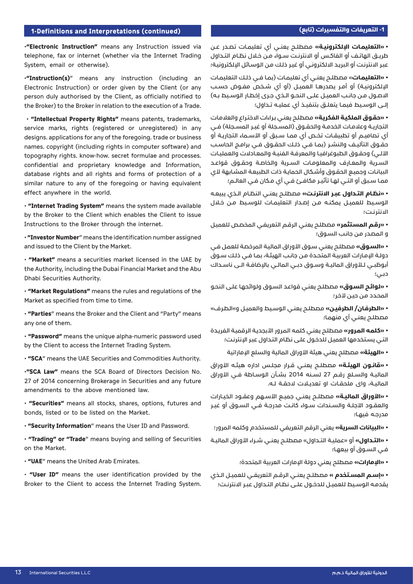# **(continued (Interpretations and Definitions1- -1 التعريفات والتفسيرات )تابع(**

**·"Electronic Instruction"** means any Instruction issued via telephone, fax or internet (whether via the Internet Trading System, email or otherwise).

 $\cdot$ "Instruction(s)" means any instruction (including an Electronic Instruction) or order given by the Client (or any person duly authorised by the Client, as officially notified to the Broker) to the Broker in relation to the execution of a Trade.

 $\cdot$  "Intellectual Property Rights" means patents, trademarks, service marks, rights (registered or unregistered) in any designs. applications for any of the foregoing. trade or business names. copyright (including rights in computer software) and topography rights. know-how. secret formulae and processes. confidential and proprietary knowledge and Information, database rights and all rights and forms of protection of a similar nature to any of the foregoing or having equivalent effect anywhere in the world.

 $\cdot$  "Internet Trading System" means the system made available by the Broker to the Client which enables the Client to issue Instructions to the Broker through the internet.

 $\cdot$  "Investor Number" means the identification number assigned and issued to the Client by the Market.

 $\cdot$  "Market" means a securities market licensed in the UAE by the Authority, including the Dubai Financial Market and the Abu Dhabi Securities Authority.

 $\cdot$  "Market Regulations" means the rules and regulations of the Market as specified from time to time.

 $\cdot$  "Parties" means the Broker and the Client and "Party" means any one of them.

 $\cdot$  "Password" means the unique alpha-numeric password used by the Client to access the Internet Trading System.

 $\cdot$  "SCA" means the UAE Securities and Commodities Authority.

 $\cdot$ "SCA Law" means the SCA Board of Directors Decision No. 27 of 2014 concerning Brokerage in Securities and any future amendments to the above mentioned law.

 $\cdot$  "Securities" means all stocks, shares, options, futures and bonds, listed or to be listed on the Market.

 $\cdot$  "Security Information" means the User ID and Password.

• "Trading" or "Trade" means buying and selling of Securities on the Market.

 $\cdot$  **"UAE**" means the United Arab Emirates.

 $\cdot$  "User ID" means the user identification provided by the Broker to the Client to access the Internet Trading System.

 **»التعليمــات اإللكترونيــة«** مصطلــح يعنــي أي تعليمــات تصــدر عــن طريــق الهاتــف أو الفاكــس أو االنترنــت ســواء مــن خــال نظــام التــداول عبـر االنترنـت أو البريـد االلكترونـي أو غيـر ذلـك مـن الوسـائل اإللكترونيـة؛

 **»التعليمــات**« مصطلــح يعنــي أي تعليمــات )بمــا فــي ذلــك التعليمــات الإلكترونيــة) أو أمـر يصدرهـا العميــل (أو أي شــخص مفــوض حســب الاصـول مـن جانـب العميـل علــى النحـو الــذي جـرى إخطـار الـوسـيط بـه) إلــى الوســيط فيمــا يتعلــق بتنفيــذ أي عمليــه تــداول؛

 **»حقـوق الملكيـة الفكريـة«** مصطلـح يعنـي بـراءات االختـراع والعالمـات التجاريــة وعلامـات الخدمــة والحقــوق (المســجلة أو غيــر المســجلة) فــي أي تــماميــم أو تـطبيقــات تخــص أي ممــا ســبق أو الأســماء التجاريــة أو حقــوق التأليـف والنشـر (بمـا فـي ذلـك الحقــوق فــي برامــج الحاسـب الآلــي) وحقــوق الطبوغرافيـا والمعرفـة الفنيـة والمعـادلات والعمليـات الســرية والمعـارف والمعلومـات السـرية والخاصـة وحقــوق قواعــد البيانـات وجميـع الحقـوق وأشـكال الحمايـة ذات الطبيعـة المشـابهة لأى ممــا ســبق أو التــي لهــا تأثيــر مكافــئ فــي أي مــكان فــي العالــم؛

 **»نظــام التــداول عبــر االنترنــت«** مصطلــح يعنــي النظــام الــذي يبيعــه الوسـيط للعميـل يمكنـه مـن إصـدار التعليمـات للوسـيط مـن خـلال االنترنــت؛

 **»رقـم المسـتثمر«** مصطلـح يعنـي الرقـم التعريفـي المخصـص للعميـل و المصـدر مـن جانـب السـوق؛

 **»السـوق«** مصطلـح يعنـي سـوق األوراق الماليـة المرخصـة للعمـل فـي دولـة اإلمـارات العربيـة المتحـدة مـن جانـب الهيئـة، بمـا فـي ذلـك سـوق أبوظبــي لــلأوراق الماليــة وســوق دبــي المالــي بالإضافــة الــي ناســداك دبـي؛

 **»لوائـح السـوق«** مصطلـح يعنـي قواعـد السـوق ولوائحهـا علـى النحـو المحـدد مـن حيـن آلخـر؛

 **»الطرفـان/ الطرفيـن«** مصطلـح يعنـي الوسـيط والعميـل و«الطـرف« مصطلـح يعنـي أي منهمـا؛

 **»كلمـه المـرور«** مصطلـح يعنـي كلمـه المـرور األبجديـة الرقميـة الفريـدة التـي يسـتخدمها العميـل للدخـول علـى نظـام التـداول عبـر اإلنترنـت؛

 **»الهيئة«** مصطلح يعني هيئة األوراق المالية والسلع اإلماراتية

 **»قانــون الهيئــة«** مصطلــح يعنــي قــرار مجلــس اداره هيئــه األوراق الماليـة والسـلع رقــم 27 لســنه 2014 بشــأن الـوســاطة فــي الأوراق الـماليــة، واى ملحقــات او تعديــلات لاحقــة لــه.

 **»األوراق الماليــة«** مصطلــح يعنــي جميــع األســهم وعقــود الخيــارات والعقــود الآجلــة والســندات ســواء كانـت مدرجــة فــي الســوق أو غيــر مدرجــه فيهــا؛

 **»البيانات السرية«** يعني الرقم التعريفي للمستخدم وكلمه المرور؛

 **»التــداول«** أو »عمليــة التــداول« مصطلــح يعنــي شــراء األوراق الماليــة فــي الســوق أو بيعهــا؛

 **»اإلمارات«** مصطلح يعني دولة اإلمارات العربية المتحدة؛

 **»إســم المســتخدم «** مصطلــح يعنــي الرقــم التعريفــي للعميــل الــذي يقدمـه الوسـيط للعميـل للدخـول علــى نظـام التـداول عبـر الانترنـت؛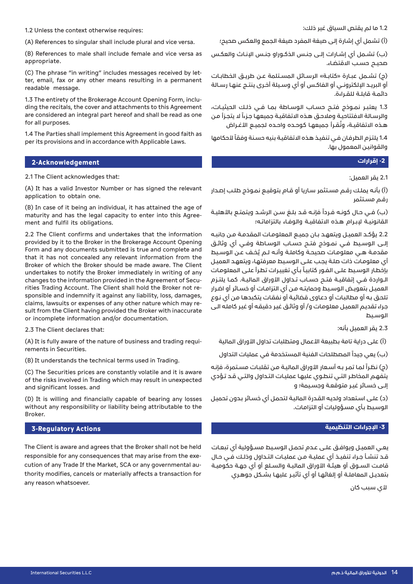1.2 Unless the context otherwise requires:

(A) References to singular shall include plural and vice versa.

(B) References to male shall include female and vice versa as .appropriate

ter, email, fax or any other means resulting in a permanent (C) The phrase "in writing" includes messages received by letreadable message.

ding the recitals, the cover and attachments to this Agreement 1.3 The entirety of the Brokerage Account Opening Form, incluare considered an integral part hereof and shall be read as one for all purposes.

1.4 The Parties shall implement this Agreement in good faith as per its provisions and in accordance with Applicable Laws.

# **Acknowledgement2- -2 إقرارات**

2.1 The Client acknowledges that:

(A) It has a valid Investor Number or has signed the relevant application to obtain one.

(B) In case of it being an individual, it has attained the age of maturity and has the legal capacity to enter into this Agree-<br>ment and fulfil its obligations.

2.2 The Client confirms and undertakes that the information provided by it to the Broker in the Brokerage Account Opening Form and any documents submitted is true and complete and that it has not concealed any relevant information from the Broker of which the Broker should be made aware. The Client undertakes to notify the Broker immediately in writing of any sponsible and indemnify it against any liability, loss, damages, rities Trading Account. The Client shall hold the Broker not rechanges to the information provided in the Agreement of Secusult from the Client having provided the Broker with inaccurate claims, lawsuits or expenses of any other nature which may reor incomplete information and/or documentation.

2.3 The Client declares that:

(A) It is fully aware of the nature of business and trading requi-<br>rements in Securities.

(B) It understands the technical terms used in Trading.

(C) The Securities prices are constantly volatile and it is aware of the risks involved in Trading which may result in unexpected and significant losses, and

(D) It is willing and financially capable of bearing any losses without any responsibility or liability being attributable to the .Broker

# **Actions Regulatory3- -3 اإلجراءات التنظيمية**

The Client is aware and agrees that the Broker shall not be held thority modifies, cancels or materially affects a transaction for cution of any Trade If the Market, SCA or any governmental auresponsible for any consequences that may arise from the exeany reason whatsoever.

1.2 ما لم يقتص السياق غير ذلك:

)أ( تشمل أي إشارة إلى صيغة المفرد صيغة الجمع والعكس صحيح؛

)ب( تشــمل أي إشــارات إلــى جنــس الذكــوراو جنــس اإلنــاث والعكــس ــمحيـــح حســب الاقتضـاء.

)ج( تشــمل عبــارة »كتابــة« الرســائل المســتلمة عــن طريــق الخطابــات أو البريــد البـلكترونــي أو الفاكـس أو أي وسـيلة أخـرى ينتــج عنهـا رســالة دائمــة قابلــة للقــراءة.

1.3 يعتبـر نمـوذج فتــح حسـاب الوسـاطة بمـا فـى ذلـك الحيثيـات، والرسـالة الافتتاحيـة وملاحـق هـذه الاتفاقيـة جميعهـا جـزءاً لا يتجـزأ مـن هــذه الاتفاقيــة، وتُقــرأ جميعهـا كوحــده واحــده لجميــع الأغــراض

1.4 يلتـزم الطرفان فـي تنفيـذ هـذه الاتفاقيـة بنيه حسـنة وفقاً لأحكامها والقوانيـن المعمول بها.

2.1 يقر العميل:

)أ( بأنـه يملـك رقـم مسـتثمر سـاريا أو قـام بتوقيـع نمـوذج طلـب إصـدار رقـم مسـتثمر

(ب) فــي حــال كونــه فــرداً فإنــه قــد بـلـغ ســن الرشــد ويتمتــع بالأهليــة القانونيــة لبـبــرام هــذه الاتفاقيــة والـوفــاء بالتزاماتــه؛

2.2 يؤكــد العميــل ويتعهــد بــان جميــع المعلومــات المقدمــة مــن جانبــه إلــى الوســيط فــي نمــوذج فتــح حســاب الوســاطة وفــي أي وثائــق مقدمــة هــي معلومــات صحيحــة وكاملــة وأنــه لــم يُخـف عــن الـوســيط أي معلومـات ذات صلـة يجـب علـى الوسـيط معرفتهـا، ويتعهـد العميـل بإخطار الوسيط علـى الفـور كتابيـاً بـأي تغييـرات تطـرأ علـى المعلومـات الــواردة فــي إتفاقيــة فتــح حســاب تــداول الأوراق الماليــة. كمـا يلتــزم العميــل بتعويــض الوســيط وحمايتــه مــن أي التزامــات أو خســائر أو اضــرار تلحـق بـه أو مطالبـات أو دعـاوى قضائيـة أو نفقـات يتكبدهـا مـن أي نـوع جـراء تقديـم العميـل معلومـات و/ أو وثائـق غيـر دقيقـه أو غيـر كاملـه الـى الوســيط

2.3 يقر العميل بأنه:

)أ( على دراية تامة بطبيعة األعمال ومتطلبات تداول األوراق المالية

(ب) يعي جيداً المصطلحات الفنية المستخدمة في عمليات التداول

(ج) نظراً لما تمر بـه أسـعار الأوراق الماليـة مـن تقلبـات مسـتمرة، فإنـه يتفهـم المخاطـر التـي تنطـوي عليهـا عمليـات التـداول والتـي قـد تـؤدي إلـى خسـائر غيـر متوقعـة وجسـيمة؛ و

)د( علـى اسـتعداد ولديـه القـدرة الماليـة لتحمـل أي خسـائر بـدون تحميـل الوسـيط بـأي مسـؤوليات أو التزامـات.

يعــي العميــل ويوافــق علــى عــدم تحمــل الوســيط مســؤولية أي تبعــات قــد تنشــأ جــراء تنفيــذ أي عمليــة مــن عمليــات التــداول وذلــك فــي حــال قامـت الســوق أو هيئــة الأوراق الماليــة والســلع أو أي جهــة حكوميــة بتعديــل المعاملــة أو إلغائهــا أو أي تأثيــر عليهــا بشــكل جوهــري

ألي سبب كان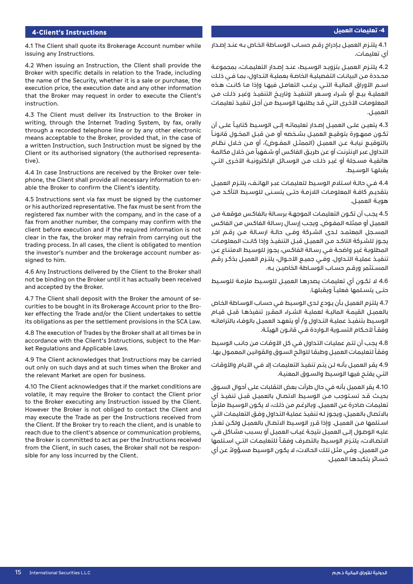# **Instructions s'Client4- -4 تعليمات العميل**

4.1 The Client shall quote its Brokerage Account number while issuing any Instructions.

4.2 When issuing an Instruction, the Client shall provide the Broker with specific details in relation to the Trade, including the name of the Security, whether it is a sale or purchase, the execution price, the execution date and any other information that the Broker may request in order to execute the Client's instruction.

4.3 The Client must deliver its Instruction to the Broker in writing, through the Internet Trading System, by fax, orally through a recorded telephone line or by any other electronic means acceptable to the Broker, provided that, in the case of a written Instruction, such Instruction must be signed by the Client or its authorised signatory (the authorised representa-<br>tive).

phone, the Client shall provide all necessary information to en-<br>able the Broker to confirm the Client's identity. 4.4 In case Instructions are received by the Broker over tele-<br>phone, the Client shall provide all necessary information to en-4.4 In case Instructions are received by the Broker over tele-

4.5 Instructions sent via fax must be signed by the customer or his authorized representative. The fax must be sent from the registered fax number with the company, and in the case of a fax from another number, the company may confirm with the client before execution and if the required information is not clear in the fax, the broker may refrain from carrying out the trading process. In all cases, the client is obligated to mention the investor's number and the brokerage account number as-<br>signed to him.

4.6 Any Instructions delivered by the Client to the Broker shall not be binding on the Broker until it has actually been received and accepted by the Broker.

ker effecting the Trade and/or the Client undertakes to settle curities to be bought in its Brokerage Account prior to the Bro-4.7 The Client shall deposit with the Broker the amount of seits obligations as per the settlement provisions in the SCA Law.

4.8 The execution of Trades by the Broker shall at all times be in accordance with the Client's Instructions, subject to the Mar-<br>ket Regulations and Applicable Laws.

4.9 The Client acknowledges that Instructions may be carried out only on such days and at such times when the Broker and the relevant Market are open for business.

4.10 The Client acknowledges that if the market conditions are volatile, it may require the Broker to contact the Client prior to the Broker executing any Instruction issued by the Client. However the Broker is not obliged to contact the Client and may execute the Trade as per the Instructions received from the Client. If the Broker try to reach the client, and is unable to reach due to the client's absence or communication problems. the Broker is committed to act as per the Instructions received from the Client, in such cases, the Broker shall not be respon-<br>sible for any loss incurred by the Client.

4.1 يلتــزم العميــل بــإدراج رقــم حســاب الوســاطة الخــاص بــه عنــد إصــدار أي تعليمــات.

4.2 يلتــزم العميــل بتزويــد الـوســيط، عنــد إصــدار التعليمــات، بمجموعــة محـددة مـن البيانـات التفصيليـة الخاصـة بعمليـة التـداول، بمـا فـي ذلـك اســم الأوراق الماليــة التــي يرغــب التعامــل فيهــا وإذا مــا كانــت هــذه العمليــة بيــع أو شــراء وســعر التنفيــذ وتاريــخ التنفيــذ وغيــر ذلــك مــن المعلومـات الأخـرى التـي قـد يطلبهـا الوسـيط مـن أجـل تنفيـذ تعليمـات العميــل.

4.3 يتعيـن علــى العميـل إصـدار تعليماتـه إلــى الوسـيط كتابيـاً علــى أن ً تكــون ممهــورة بتوقيــع العميــل بشــخصه أو مــن قبــل المخــول قانونــاً بالتوقيــع نيابــة عــن العميــل (الممثــل المفــوض)، أو مــن خـلال نظـام التـداول عبـر الإنترنـت أو عن طريـق الفاكس أو شـفهياً من خلال مكالمة هاتفيــة مســجلة أو غيــر ذلــك مــن الوســائل اإللكترونيــة األخــرى التــي يقبلها الوسيط.

4.4 فــي حالــة اســتلام الـوسـيط لتعليمــات عبــر الهاتـف، يلتــزم العميــل بتقديــم كافــة الـمعلومـات اللازمــة حتــى يتســنـى للـوسـيط التأكــد مــن هويـة العميـل.

4.5 يجـب أن تكـون التعليمـات الموجهـة برسـالة بالفاكـس موقعـة مـن العميـل أو ممثلـه المفـوض. ويجـب إرسـال رسـالة الفاكـس مـن الفاكـس المســجل المعتمــد لــدى الشــركة وفــى حالــة ارســالة مــن رقــم اخــر يجــوز للشــركة التاكــد مــن العميــل قبــل التنفيــذ وإذا كانــت المعلومــات المطلوبـة غيـر واضحـة فـي رسـالة الفاكـس، يجـوز للوسـيط االمتنـاع عـن تنفيــذ عمليــة التــداول. وفــي جميــع الأحــوال، يلتــزم العميــل بـذكـر رقــم المســتثمر ورقــم حســاب الوســاطة الخاصيــن بــه.

4.6 لا تكـون أي تعليمـات يصدرهـا العميـل للوسـيط ملزمـة للوسـيط حتــى يتســلمها فعليــاً ويقبلهـا.

4.7 يلتـزم العميـل بـأن يـودع لـدى الوسـيط فـي حسـاب الوسـاطة الخـاص بالعميــل القيمــة الماليــة لعمليــة الشــراء المقــرر تنفيذهــا قبــل قيــام الوســيط بتنفيــذ عمليــة التــداول و/ أو يتعهــد العميــل بالوفــاء بالتزاماتــه وفقـاً لأحـكام التســوية الــواردة فــي قانــون الهيئـة.

4.8 يجب أن تتـم عمليـات التـداول فـي كل الأوقـات مـن جانـب الـوسـيط وفقاً لتعليمات العميل وطبقا للوائح السوق والقوانين المعمول بها.

4.9 يقـر العميـل بأنـه لـن يتـم تنفيـذ التعليمـات إلا فـي الأيـام والأوقـات التـي يفتـح فيهـا الوسـيط والسـوق المعنيـة.

4.10 يقر العميل بأنه في حال طرأت بعض التقلبات على أحوال السـوق بحيــث قــد تســتوجب مــن الوســيط االتصــال بالعميــل قبــل تنفيــذ أي ً تعليمـات صـادرة عـن العميـل. وبالرغـم مـن ذلـك، ال يكـون الوسـيط ملزمـا باالتصـال بالعميـل، ويجـوز لـه تنفيـذ عمليـة التـداول وفـق التعليمـات التي اســتلمها مــن العميــل. وإذا قــرر الوســيط االتصــال بالعميــل ولكــن تعــذر عليـه الوصـول إلـى العميـل نتيجـة غيـاب العميـل أو بسـبب مشـاكل فـي الاتصــالات، يلتــزم الـوسـيط بالتصــرف وفقــاً للتعليمــات التــى اســتلمها ً مـن العميـل. وفـي مثـل تلـك الحـاالت، ال يكـون الوسـيط مسـؤوال عـن أي خسـائر يتكبدهـا العميـل.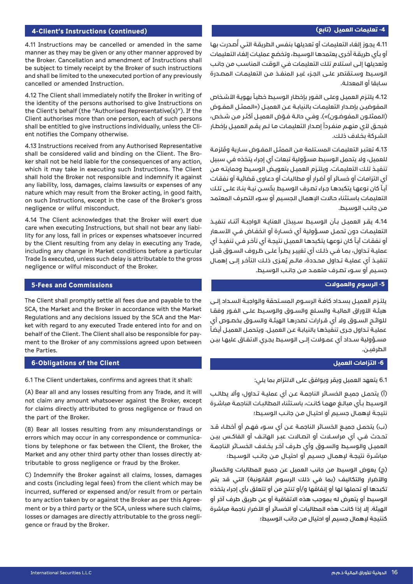#### **-4 تعليمات العميل )تابع(**

#### **4-Client's Instructions (continued)**

4.11 Instructions may be cancelled or amended in the same manner as they may be given or any other manner approved by the Broker. Cancellation and amendment of Instructions shall be subject to timely receipt by the Broker of such instructions and shall be limited to the unexecuted portion of any previously cancelled or amended Instruction.

4.12 The Client shall immediately notify the Broker in writing of the identity of the persons authorised to give Instructions on the Client's behalf (the "Authorised Representative(s)"). If the Client authorises more than one person, each of such persons shall be entitled to give instructions individually, unless the Cli-<br>ent notifies the Company otherwise.

4.13 Instructions received from any Authorised Representative ker shall not be held liable for the consequences of any action, shall be considered valid and binding on the Client. The Browhich it may take in executing such Instructions. The Client shall hold the Broker not responsible and indemnify it against any liability, loss, damages, claims lawsuits or expenses of any nature which may result from the Broker acting, in good faith, on such Instructions, except in the case of the Broker's gross negligence or wilful misconduct.

4.14 The Client acknowledges that the Broker will exert due lity for any loss, fall in prices or expenses whatsoever incurred care when executing Instructions, but shall not bear any liabiby the Client resulting from any delay in executing any Trade. including any change in Market conditions before a particular Trade Is executed, unless such delay is attributable to the gross negligence or wilful misconduct of the Broker.

#### **5-Fees and Commissions**

The Client shall promptly settle all fees due and payable to the SCA, the Market and the Broker in accordance with the Market ket with regard to any executed Trade entered into for and on Regulations and any decisions issued by the SCA and the Marment to the Broker of any commissions agreed upon between behalf of the Client. The Client shall also be responsible for paythe Parties.

#### **6-Obligations of the Client**

6.1 The Client undertakes, confirms and agrees that it shall:

(A) Bear all and any losses resulting from any Trade, and it will not claim any amount whatsoever against the Broker, except for claims directly attributed to gross negligence or fraud on the part of the Broker.

(B) Bear all losses resulting from any misunderstandings or tions by telephone or fax between the Client, the Broker, the errors which may occur in any correspondence or communicatributable to gross negligence or fraud by the Broker. Market and any other third party other than losses directly at-

C) Indemnify the Broker against all claims, losses, damages and costs (including legal fees) from the client which may be incurred, suffered or expensed and/or result from or pertain ment or by a third party or the SCA, unless where such claims, to any action taken by or against the Broker as per this Agreelosses or damages are directly attributable to the gross negli-<br>gence or fraud by the Broker. 4.11 يجوز إلغاء التعليمات أو تعديلها بنفس الطريقة التـي أُصدرت بها أو بـأي طريقـة أخـرى يعتمدهـا الوسـيط، وتخضـع عمليـات إلغـاء التعليمات وتعديلهـا إلـى اسـتالم تلـك التعليمـات فـي الوقـت المناسـب مـن جانـب الوســيط وســتقتصر علــى الجــزء غيــر المنفــذ مــن التعليمــات المصــدرة سـابقا أو المعدلـة.

4.12 يلتـزم العميـل وعلـى الفـور بإخطـار الوسيط خطيـاً بهويـة الأشـخاص المفوضيــن بإصــدار التعليمــات بالنيابــة عــن العميــل )»الممثــل المفــوض (الممثلــون المفوضــون)»). وفــى حالــة فــوّض العميـل أكثـر مـن شـخص، فيحـق لأي منهـم منفـرداً إصـدار التعليمـات مـا لـم يقـم العميـل بإخطـار الشـركة بخـاف ذلـك.

4.13 تعتبر التعليمات المسـتلمة مـن الممثـل المفـوض سـارية ومُلزمـة للعميل، وال يتحمل الوسيط مسؤولية تبعات أي إجراء يتخذه في سبيل تنفيـذ تلـك التعليمـات. ويلتـزم العميـل بتعويـض الوسـيط وحمايتـه مـن أي التزامـات أو خسـائر أو أضـرار أو مطالبـات أو دعـاوى قضائيـة أو نفقـات أيـاً كان نوعهـا يتكبدهـا جـراء تصـرف الوسـيط بحُسـن نيـة بنـاءً علــى تلـك التعليمـات باسـتثناء حـاالت اإلهمـال الجسـيم أو سـوء التصـرف المعتمـد مـن جانـب الوسـيط.

4.14 يقــر العميــل بــأن الـوسـيط ســيبـذل العنايــة الواجبــة أثنــاء تنفيــذ التعليمـات دون تحمــل مســؤولية أي خسـارة أو انخفــاض فــي الأســعار أو نفقـات أيـاً كان نوعهـا يتكبدهـا العميـل نتيجـة أي تأخـر فـي تنفيـذ أي عمليــة تــداول، بمــا فــي ذلــك أي تغييــر يطــرأ علــى ظــروف الســوق قبــل تنفيــذ أي عمليــة تــداول محــددة، مالــم يُـعــزى ذلــك التأخــر إلــى إهمــال جســيم أو ســوء تصــرف متعمــد مــن جانــب الوســيط.

## **-5 الرسوم والعموالت**

يلتــزم العميــل بســداد كافــة الرســوم المســتحقة والواجبــة الســداد إلــى هيئـة الأوراق الماليـة والسـلع والســوق والـوسـيط علــى الفــور وفقـا للوائــح الســوق وال أي قــرارات تصدرهــا الهيئــة والســوق بخصــوص أي ً عمليـة تـداول جـرى تنفيذهـا بالنيابـة عـن العميـل. ويتحمـل العميـل أيضـا مســؤولية ســداد أي عمــوالت إلــى الوســيط يجــري االتفــاق عليهــا بيــن الطرفيــن.

#### **-6 التزامات العميل**

6.1 يتعهد العميل ويقر ويوافق على االلتزام بما يلي:

)أ( يتحمــل جميــع الخســائر الناجمــة عــن أي عمليــة تــداول، وأال يطالــب الوسـيط بـأي مبالــغ مهمـا كانـت، باسـتثناء المطالبـات الناجمـة مباشـرة نتيجــة إلهمــال جســيم أو احتيــال مــن جانــب الوســيط؛

)ب( يتحمــل جميــع الخســائر الناجمــة عــن أي ســوء فهــم أو أخطــاء قــد تحــدث فــي أي مراســات أو اتصــاالت عبــر الهاتــف أو الفاكــس بيــن العميـل والوسـيط والســوق وأي طــرف آخـر بخـلاف الخســائر الناجمــة مباشــرة نتيجــة لإهمــال جسـيم أو احتيــال مــن جانــب الـوسـيط؛

)ج( يعوض الوسيط من جانب العميل عن جميع المطالبات والخسائر والأضرار والتكاليف (بما في ذلك الرسوم القانونية) التي قد يتم تكبدها أو تحملها لها أو إنفاقها و/أو تنتج من أو تتعلق بأي إجراء يتخذه الوسيط أو يتعرض له بموجب هذه االتفاقية أو عن طريق طرف آخر أو الهيئة. إلا إذا كانت هذه المطالبات أو الخسائر أو الأضرار ناجمة مباشرة كنتيجة إلهمال جسيم أو احتيال من جانب الوسيط؛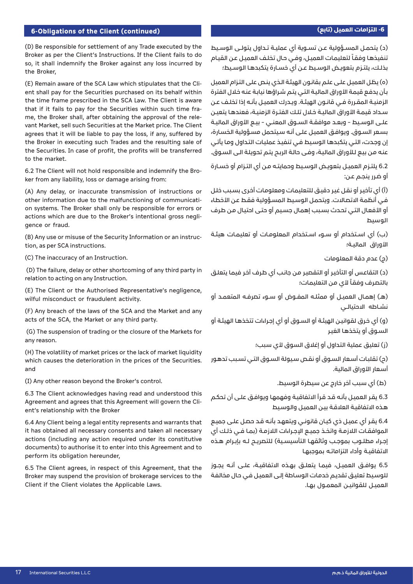# **(continued (-6 التزامات العميل )تابع( Client the of Obligations6-**

)د( يتحمــل المســؤولية عــن تســوية أي عمليــة تــداول يتولــى الوســيط ننفيذها وفقاً لتعليمات العميل، وفـي حال تخلف العميل عن القيام بذلــك، يلتــزم بتعويــض الوســيط عــن أي خســارة يتكبدهــا الوســيط؛

)ه( يظـل العميـل علـى علـم بقانـون الهيئـة الـذي ينـص على التـزام العميل بـأن يدفـع قيمـة األوراق الماليـة التـي يتـم شـراؤها نيابـة عنـه خـال الفترة الزمنيــة المقــررة فــي قانــون الهيئــة. ويــدرك العميــل بأنــه إذا تخلــف عــن ســداد قيمــة األوراق الماليــة خــال تلــك الفتــرة الزمنيــة، فعندهــا يتعيــن علــى الوسـيط – وبعــد موافقـة الســوق المعنــي – بيــع الأوراق الماليـة بسـعر السـوق. ويوافـق العميـل علـى أنـه سـيتحمل مسـؤولية الخسـارة، إن وجـدت، التـي يتكبدهـا الوسـيط فـي تنفيـذ عمليـات التـداول ومـا يأتـي عنه من بيع لـلأوراق الماليـة، وفـى حالـة الربـح يتـم تحويلـة الـى السـوق.

6.2 يلتــزم العميــل بتعويــض الوســيط وحمايتــه مــن أي التــزام أو خســارة أو ضـرر ينجـم عـن:

)أ( أي تأخيـر أو نقـل غيـر دقيـق للتعليمـات ومعلومـات أخـرى بسـبب خلـل فـي أنظمـة االتصـاالت. ويتحمـل الوسـيط المسـؤولية فقـط عـن األخطـاء أو الأفعال التـى تحدث بسـبب إهمال جسيم أو حتـى احتيـال مـن طرف الوسيط

)ب( أي اســتخدام أو ســوء اســتخدام المعلومــات أو تعليمــات هيئــة الأوراق الماليـة؛

)ج( عدم دقة المعلومات

)د( التقاعـس أو التأخيـر أو التقصيـر مـن جانـب أي طـرف آخـر فيمـا يتعلـق بالتصرف وفقاً لأي من التعليمات؛

)هــ( إهمــال العميــل أو ممثلــه المفــوض أو ســوء تصرفــه المتعمــد أو نشــاطه االحتيالــي

)و( أي خـرق لقوانيـن الهيئـة أو السـوق أو أي إجـراءات تتخذهـا الهيئـة أو السـوق أو يتخذهـا الغيـر

)ز( تعليق عملية التداول أو إغالق السوق ألي سبب؛

)ح( تقلبـات أسـعار السـوق أو نقـص سـيولة السـوق التـي تسـبب تدهـور أسـعار الأوراق المالية.

)ط( أي سبب آخر خارج عن سيطرة الوسيط.

6.3 يقـر العميـل بأنـه قـد قـرأ االتفاقيـة وفهمهـا ويوافـق علـى أن تحكـم هـذه االتفاقيـة العالقـة بيـن العميـل والوسـيط

6.4 يقـر أي عميـل ذي كيـان قانونـي ويتعهـد بأنـه قـد حصـل علـى جميـع الموافقـات اللازمــة واتخــذ جميــع الإجــراءات اللازمــة (بمــا فــي ذلــك أي إجــراء مطلــوب بموجـب وثائقهـا التأسيسـية) للتصريــح لــه بإبــرام هــذه االتفاقيــة وأداء التزاماتــه بموجبهــا

6.5 يوافــق العميــل، فيمــا يتعلــق بهــذه االتفاقيــة، علــى أنــه يجــوز للوسـيط تعليـق تقديـم خدمـات الوسـاطة إلـى العميـل فـي حـال مخالفـة العميــل للقوانيــن المعمــول بهــا.

(D) Be responsible for settlement of any Trade executed by the Broker as per the Client's Instructions. If the Client fails to do so, it shall indemnify the Broker against any loss incurred by the Broker,

ent shall pay for the Securities purchased on its behalf within (E) Remain aware of the SCA Law which stipulates that the Clithe time frame prescribed in the SCA Law. The Client is aware vant Market, sell such Securities at the Market price. The Client me, the Broker shall, after obtaining the approval of the relethat if it fails to pay for the Securities within such time fraagrees that it will be liable to pay the loss, if any, suffered by the Broker in executing such Trades and the resulting sale of the Securities. In case of profit, the profits will be transferred to the market

6.2 The Client will not hold responsible and indemnify the Bro-<br>ker from any liability, loss or damage arising from:

(A) Any delay, or inaccurate transmission of instructions or on systems. The Broker shall only be responsible for errors or other information due to the malfunctioning of communicatiactions which are due to the Broker's intentional gross negli-<br>gence or fraud.

(B) Any use or misuse of the Security Information or an instruc-<br>tion, as per SCA instructions.

(C) The inaccuracy of an Instruction.

(D) The failure, delay or other shortcoming of any third party in relation to acting on any Instruction.

(E) The Client or the Authorised Representative's negligence, wilful misconduct or fraudulent activity.

(F) Any breach of the laws of the SCA and the Market and any acts of the SCA, the Market or any third party.

(G) The suspension of trading or the closure of the Markets for any reason.

(H) The volatility of market prices or the lack of market liquidity which causes the deterioration in the prices of the Securities. and

(I) Any other reason beyond the Broker's control.

6.3 The Client acknowledges having read and understood this Agreement and agrees that this Agreement will govern the Cli-<br>ent's relationship with the Broker

6.4 Any Client being a legal entity represents and warrants that it has obtained all necessary consents and taken all necessary actions (including any action required under its constitutive documents) to authorise it to enter into this Agreement and to perform its obligation hereunder.

6.5 The Client agrees, in respect of this Agreement, that the Broker may suspend the provision of brokerage services to the Client if the Client violates the Applicable Laws.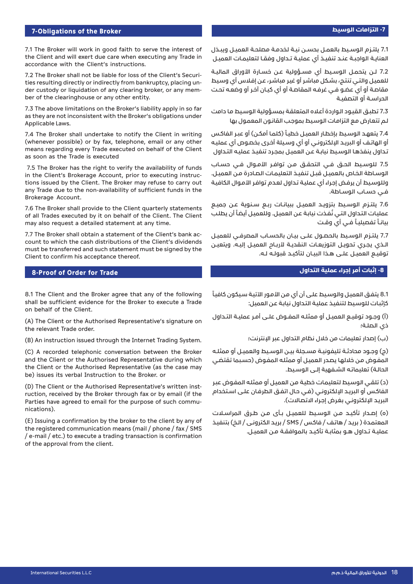#### **7-Obligations of the Broker**

7.1 The Broker will work in good faith to serve the interest of the Client and will exert due care when executing any Trade in accordance with the Client's instructions.

der custody or liquidation of any clearing broker, or any mem-<br>ber of the clearinghouse or any other entity. ties resulting directly or indirectly from bankruptcy, placing un-<br>der custody or liquidation of any clearing broker, or any memties resulting directly or indirectly from bankruptcy, placing un-7.2 The Broker shall not be liable for loss of the Client's Securi-

7.3 The above limitations on the Broker's liability apply in so far as they are not inconsistent with the Broker's obligations under Applicable Laws.

7.4 The Broker shall undertake to notify the Client in writing (whenever possible) or by fax, telephone, email or any other means regarding every Trade executed on behalf of the Client as soon as the Trade is executed

7.5 The Broker has the right to verify the availability of funds tions issued by the Client. The Broker may refuse to carry out in the Client's Brokerage Account, prior to executing instrucany Trade due to the non-availability of sufficient funds in the Brokerage Account.

7.6 The Broker shall provide to the Client quarterly statements of all Trades executed by it on behalf of the Client. The Client may also request a detailed statement at any time.

count to which the cash distributions of the Client's dividends 7.7 The Broker shall obtain a statement of the Client's bank acmust be transferred and such statement must be signed by the Client to confirm his acceptance thereof.

#### **8-Proof of Order for Trade**

8.1 The Client and the Broker agree that any of the following shall be sufficient evidence for the Broker to execute a Trade on behalf of the Client.

(A) The Client or the Authorised Representative's signature on the relevant Trade order.

(B) An instruction issued through the Internet Trading System.

(C) A recorded telephonic conversation between the Broker and the Client or the Authorised Representative during which the Client or the Authorised Representative (as the case may be) issues its verbal Instruction to the Broker. or

ruction, received by the Broker through fax or by email (if the (D) The Client or the Authorised Representative's written inst-Parties have agreed to email for the purpose of such commu-<br>nications).

(E) Issuing a confirmation by the broker to the client by any of the registered communication means (mail / phone / fax / SMS  $/$  e-mail  $/$  etc.) to execute a trading transaction is confirmation of the approval from the client.

7.1 يلتــزم الوســيط بالعمــل بحســن نيــة لخدمــة مصلحــة العميــل ويبــذل العنايــة الـواجبــة عنــد تنفيــذ أي عمليــة تــداول وفقــا لتعليمــات العميــل

7.2 لــن يتحمــل الـوسـيط أي مســؤولية عــن خســارة الأوراق الماليــة للعميـل والتـي تنتـج، بشـكل مباشـر أو غيـر مباشـر، عـن إفـاس أي وسـيط مقاصـة أو أي عضـو فـي غرفـه المقاصـة أو أي كيـان آخـر أو وضعـه تحـت الحراســة أو التصفيــة

7.3 تطبـق القيـود الـواردة أعـاه المتعلقـة بمسـؤولية الوسـيط مـا دامت لـم تتعـارض مـع التزامـات الوسـيط بموجـب القانـون المعمـول بها

7.4 يتعهـد الوسـيط بإخطـار العميـل خطيـاً (كلمـا أمكـن) أو عبـر الفاكـس أو الهاتـف أو البريـد الإلـكترونـي أو أي وسـيلة أخـرى بخصـوص أي عمليـه تـداول ينفذهـا الوسـيط نيابـة عـن العميـل بمجـرد تنفيـذ عمليـه التـداول

7.5 للوسـيط الحــق فــي التحقــق مــن توافــر الأمــوال فــي حســاب الوسـاطة الخـاص بالعميـل قبـل تنفيـذ التعليمـات الصـادرة مـن العميـل. وللوسـيط أن يرفـض إجـراء أي عمليـة تـداول لعـدم توافـر األمـوال الكافيـة فــي حســاب الوســاطة.

7.6 يلتــزم الوسـيط بتزويــد العميــل ببيانــات ربــع ســنـوية عــن جميــع عمليات التداول التـى نُفذت نيابة عن العميل. وللعميل أيضاً أن يطلب بيانــاً تفصيليــاً فــي أي وقــت

7.7 يلتـزم الـوسـيط بالحصــول علــى بيــان بالحســاب المصرفــى للعميــل الــذي يجــري تحويــل التوزيعــات النقديــة لأربــاح العميــل إليــه. ويتعيــن توقيــع العميــل علــى هــذا البيــان لتأكيــد قبـولــه لــه.

#### **-8 إثبات أمر إجراء عملية التداول**

ً 8.1 يتفـق العميـل والوسيط علـى أن أي من الأمـور الآتيـة سيكون كافيـاً كإثبـات للوسـيط لتنفيـذ عمليـة التـداول نيابـة عـن العميل:

)أ( وجــود توقيــع العميــل أو ممثلــه المفــوض علــى أمــر عمليــة التــداول ذي الصلــة؛

)ب( إصدار تعليمات من خالل نظام التداول عبر اإلنترنت؛

(ج) وجـود محادثـة تليفونيـة مسـجلة بيــن الـوسـيط والعميـل أو ممثلـه المفـوض مـن خلالها يصـدر العميـل أو ممثلـه المفـوض (حسـبما تقتضـي الحالـة) تعليماتـه الشـفهية إلـى الوسـيط.

)د( تلقـي الوسـيط لتعليمـات خطيـة مـن العميـل أو ممثلـه المفـوض عبـر الفاكـس أو البريـد الإلكترونـي (فـي حـال اتفـق الطرفـان علـى اسـتخدام البريـد الإلكترونـي بغـرض إجـراء الاتصالات).

(o) إصــدار تأكيــد مــن الـوسـيط للعميــل بــأى مــن طــرق الـمراســلات المعتمـدة ( بريـد / هاتـف / فاكـس / SMS / بريـد الكترونـى / الـخ) بتنفيـذ عمليــة تــداول هــو بمثابــة تأكيــد بالموافقــة مــن العميــل.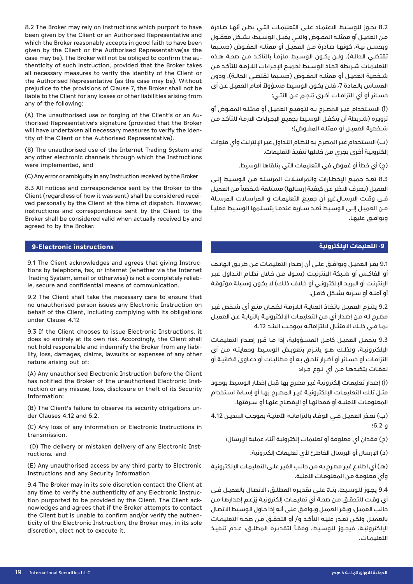8.2 The Broker may rely on instructions which purport to have been given by the Client or an Authorised Representative and which the Broker reasonably accepts in good faith to have been given by the Client or the Authorised Representative (as the thenticity of such instruction, provided that the Broker takes case may be). The Broker will not be obliged to confirm the auall necessary measures to verify the identity of the Client or the Authorised Representative (as the case may be). Without prejudice to the provisions of Clause 7, the Broker shall not be liable to the Client for any losses or other liabilities arising from any of the following:

thorised Representative's signature (provided that the Broker (A) The unauthorised use or forging of the Client's or an Autity of the Client or the Authorised Representative). will have undertaken all necessary measures to verify the iden-

(B) The unauthorised use of the Internet Trading System and any other electronic channels through which the Instructions were implemented, and

(C) Any error or ambiguity in any Instruction received by the Broker

8.3 All notices and correspondence sent by the Broker to the ved personally by the Client at the time of dispatch. However, Client (regardless of how it was sent) shall be considered receiinstructions and correspondence sent by the Client to the Broker shall be considered valid when actually received by and agreed to by the Broker.

# **-9 التعليمات اإللكترونية instructions Electronic9-**

tions by telephone, fax, or internet (whether via the Internet 9.1 The Client acknowledges and agrees that giving Instrucle, secure and confidential means of communication. Trading System, email or otherwise) is not a completely reliab-

9.2 The Client shall take the necessary care to ensure that no unauthorised person issues any Electronic Instruction on behalf of the Client, including complying with its obligations under Clause 4.12

9.3 If the Client chooses to issue Electronic Instructions, it does so entirely at its own risk. Accordingly, the Client shall lity, loss, damages, claims, lawsuits or expenses of any other not hold responsible and indemnify the Broker from any liabinature arising out of:

(A) Any unauthorised Electronic Instruction before the Client ruction or any misuse, loss, disclosure or theft of its Security has notified the Broker of the unauthorised Electronic Inst-Information:

(B) The Client's failure to observe its security obligations un-<br>der Clauses 4.12 and 6.2.

(C) Any loss of any information or Electronic Instructions in .transmission

(D) The delivery or mistaken delivery of any Electronic Inst-<br>ructions. and

(E) Any unauthorised access by any third party to Electronic Instructions and any Security Information

9.4 The Broker may in its sole discretion contact the Client at nowledges and agrees that if the Broker attempts to contact tion purported to be provided by the Client. The Client ackany time to verify the authenticity of any Electronic Instructicity of the Electronic Instruction, the Broker may, in its sole the Client but is unable to confirm and/or verify the authendiscretion, elect not to execute it.

8.2 يجــوز للـوسـيط الاعتمـاد علــى التعليمـات التــى يظــن أنهـا صـادرة مــن العميــل أو ممثلــه المفــوض والتــي يقبــل الوســيط، بشــكل معقــول وبحســن نيــة، كونهــا صــادرة مــن العميــل أو ممثلــه المفــوض )حســبما نقتضــى الحالــة). ولــن يكــون الـوســيط ملزمــاً بالتأكــد مــن صحــة هــذه التعليمـات شـريطة اتخـاذ الوسـيط لجميـع اإلجـراءات الالزمـة للتأكـد مـن شــخصية العميــل أو ممثلــه المفــوض (حســبما تقتضــى الحالــة). ودون المسـاس بالمـادة 7 ً ، فلـن يكـون الوسـيط مسـؤوال أمـام العميـل عـن أي خســائر أو أي التزامــات أخــرى تنجــم عــن الآتــي:

)أ( االســتخدام غيــر المصــرح بــه لتوقيــع العميــل أو ممثلــه المفــوض أو تزويـره )شـريطة أن يتكفـل الوسـيط بجميـع اإلجـراءات االزمـة للتأكـد مـن شـخصية العميـل أو ممثلـه المفــوض)؛

)ب( االسـتخدام غيـر المصـرح بـه لنظـام التـداول عبـر اإلنترنـت وأي قنوات إلكترونيـة أخـرى يجـري مـن خاللها تنفيـذ التعليمات.

)ج( أي خطأ أو غموض في التعليمات التي يتلقاها الوسيط.

8.3 تعــد جميــع البـخطــارات والمراســلات المرسـلة مــن الـوسـيط إلــى العميل (بصرف النظر عن كيفية إرسالها) مستلمة شخصياً من العميل فــى وقـت الارســال.غير أن جميــع التعليمـات و المراسـلات المرسـلة ً مـن العميـل إلـى الوسـيط تُعـد سـارية عندمـا يتسـلمها الوسـيط فعليـاً ويوافــق عليهــا.

9.1 يقــر العميــل ويوافــق علــى أن إصــدار التعليمــات عــن طريــق الهاتــف أو الفاكــس أو شــبكة اإلنترنيــت )ســواء مــن خــال نظــام التــداول عبــر الإنترنـت أو البريـد الإلكترونـي أو خـلاف ذلـك) لا يكـون وسـيلة موثوقـة أو آمنـة أو سـرية بشـكل كامـل.

9.2 يلتــزم العميــل باتخـاذ العنايــة اللازمــة لضمــان منــع أي شــخص غيــر مصـرح لـه مـن إصـدار أي مـن التعليمـات اإللكترونيـة بالنيابـة عـن العميـل بمــا فــي ذلــك االمتثــال اللتزاماتــه بموجــب البنــد 4.12

9.3 يتحمــل العميــل كامــل المســؤولية، إذا مــا قــرر إصــدار التعليمــات اإللكترونيــة، ولذلــك هــو يلتــزم بتعويــض الوســيط وحمايتــه مــن أي التزامـات أو خسـائر أو أضـرار تلحـق بـه أو مطالبـات أو دعـاوى قضائيـة أو نفقـات يتكبدهـا مــن أي نــوع جــراء:

)أ( إصـدار تعليمـات إلكترونيـة غيـر مصـرح بهـا قبـل إخطـار الوسـيط بوجـود مثــل تلــك التعليمــات اإللكترونيــة غيــر المصــرح بهــا أو إســاءة اســتخدام المعلومـات الأمنيــة أو فقدانهـا أو الإفصـاح عنهـا أو ســرقتها.

)ب( تعــذر العميــل فــي الوفــاء بالتزاماتــه األمنيــة بموجــب البنديــن 4.12 و 6.2؛

(ح) فقدان أي معلومة أو تعليمات إلكترونية أثناء عملية الإرسال؛

(د) الإرسال أو الإرسال الخاطئ لأي تعليمات إلكترونية.

)هــ( أي اطـاع غيـر مصـرح بـه مـن جانـب الغيـر علـى التعليمـات اإللكترونيـة وأي معلومـة مـن المعلومـات األمنية.

9.4 ً يجــوز للوســيط، بنــاء علــى تقديــره المطلــق، االتصــال بالعميــل فــي أي وقــت للتحقــق مــن صحــة أي تعليمــات إلكترونيــة يُ زعــم إصدارهــا مــن جانـب العميـل، ويقـر العميـل ويوافـق علـى أنـه إذا حـاول الوسـيط االتصـال بالعميــل ولكــن تعــذر عليــه التأكــد و/ أو التحقــق مــن صحــة التعليمــات الإلكترونيــة، فيجــوز للـوسـيط، وفقــاً لتقديـره المطلــق، عــدم تنفيــذ التعليمــات.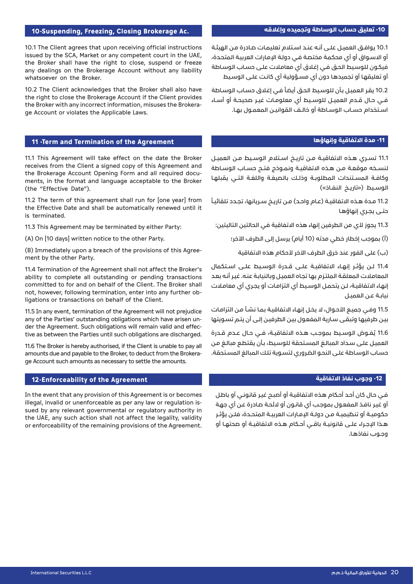### **-10 تعليق حساب الوساطة وتجميده وإغالقه**

10.1 يوافـق العميـل علـى أنـه عنـد اسـتالم تعليمـات صـادرة مـن الهيئـة أو االسـواق أو أي محكمـة مختصـة فـي دولـة اإلمـارات العربيـة المتحـدة، فيكـون للوسـيط الحـق فـي إغـاق أي معامـات علـى حسـاب الوسـاطة أو تعليقهـا أو تجميدهـا دون أي مسـؤولية أي كانـت علـى الوسـيط

10.2 يقر العميل بأن للوسيط الحق أيضاً فى إغلاق حساب الوساطة فــي حــال قــدم العميــل للوســيط أي معلومــات غيــر صحيحــة أو أســاء اسـتخدام حسـاب الوسـاطة أو خالـف القوانيــن المعمــول بهـا.

#### **-11 مدة االتفاقية وإنهاؤها**

11.1 تســري هــذه االتفاقيــة مــن تاريــخ اســتالم الوســيط مــن العميــل لنسـخه موقعـة مـن هـذه الاتفاقيــة ونمــوذج فتــح حســاب الـوســاطة وكافـة المسـتندات المطلوبـة وذلـك بالصيغـة واللغـة التـى يقبلهـا الوسـيط («تاريـخ النفـاذ»)

ً 11.2 مـدة هـذه الاتفاقيـة (عـام واحـد) مـن تاريـخ سـريانها، تجـدد تلقائيـاً حتــى يجــري إنهاؤهــا

11.3 يجوز لأي من الطرفين إنهاء هذه الاتفاقية في الحالتين التاليتين:

(أ) بموجب إخطار خطي مدته (10 أيام) يرسل إلى الطرف الآخر؛

)ب( على الفور عند خرق الطرف اآلخر ألحكام هذه االتفاقية

11.4 لــن يؤثــر إنهــاء االتفاقيــة علــى قــدرة الوســيط علــى اســتكمال المعامـات المعلقـة الملتـزم بهـا تجـاه العميـل وبالنيابـة عنـه. غيـر أنـه بعـد إنهـاء الاتفاقيـة، لـن يتحمـل الـوسـيط أي التزامـات أو يجـري أي معامـلات نيابــة عــن العميــل

11.5 وفـي جميـع الأحـوال، لا يخـل إنهـاء الاتفاقيـة بمـا نشـأ مـن التزامـات بيـن طرفيهـا وتبقـى سـارية المفعـول بيـن الطرفيـن إلـى أن يتـم تسـويتها

11.6 يُفــوض الـوسـيط بموجـب هــذه الاتفاقيــة، فــى حـال عــدم قــدرة العميـل علـى سـداد المبالـغ المسـتحقة للوسـيط، بـأن يقتطـع مبالـغ مـن حسـاب الوسـاطة علـى النحـو الضـروري لتسـوية تلـك المبالغ المسـتحقة.

# **-12 وجوب نفاذ االتفاقية**

فـي حـال كان أحـد أحـكام هـذه االتفاقيـة أو أصبـح غيـر قانونـي أو باطـل أو غيـر نافـذ المفعـول بموجـب أي قانـون أو الئحـة صـادرة عـن أي جهـة حكوميــة أو تنظيميــة مــن دولــة اإلمــارات العربيــة المتحــدة، فلــن يؤثــر هــذا اإلجــراء علــى قانونيــة باقــي أحــكام هــذه االتفاقيــة أو صحتهــا أو وجــوب نفاذهــا.

#### **10-Suspending, Freezing, Closing Brokerage Ac.**

10.1 The Client agrees that upon receiving official instructions issued by the SCA, Market or any competent court in the UAE, the Broker shall have the right to close, suspend or freeze any dealings on the Brokerage Account without any liability whatsoever on the Broker.

10.2 The Client acknowledges that the Broker shall also have the right to close the Brokerage Account if the Client provides the Broker with any incorrect information, misuses the Brokera-<br>ge Account or violates the Applicable Laws.

#### **11 - Term and Termination of the Agreement**

11.1 This Agreement will take effect on the date the Broker receives from the Client a signed copy of this Agreement and ments, in the format and language acceptable to the Broker the Brokerage Account Opening Form and all required docu-(the "Effective Date").

11.2 The term of this agreement shall run for [one year] from the Effective Date and shall be automatically renewed until it is terminated.

11.3 This Agreement may be terminated by either Party:

(A) On [10 days] written notice to the other Party.

(B) Immediately upon a breach of the provisions of this Agree-<br>ment by the other Party.

11.4 Termination of the Agreement shall not affect the Broker's ability to complete all outstanding or pending transactions committed to for and on behalf of the Client. The Broker shall ligations or transactions on behalf of the Client. not, however, following termination, enter into any further ob-

11.5 In any event, termination of the Agreement will not prejudice tive as between the Parties until such obligations are discharged. der the Agreement. Such obligations will remain valid and effecany of the Parties' outstanding obligations which have arisen un-

11.6 The Broker is hereby authorised, if the Client is unable to pay all ge Account such amounts as necessary to settle the amounts. amounts due and payable to the Broker, to deduct from the Brokera-

# **12-Enforceability of the Agreement**

In the event that any provision of this Agreement is or becomes sued by any relevant governmental or regulatory authority in illegal, invalid or unenforceable as per any law or regulation isthe UAE, any such action shall not affect the legality, validity or enforceability of the remaining provisions of the Agreement.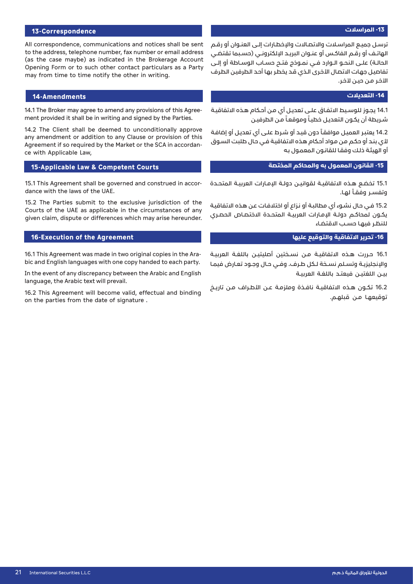#### **-13 المراسالت**

#### **13-Correspondence**

All correspondence, communications and notices shall be sent to the address, telephone number, fax number or email address (as the case maybe) as indicated in the Brokerage Account Opening Form or to such other contact particulars as a Party may from time to time notify the other in writing.

#### **Amendments14-**

ment provided it shall be in writing and signed by the Parties. 14.1 The Broker may agree to amend any provisions of this Agree-

14.2 The Client shall be deemed to unconditionally approve any amendment or addition to any Clause or provision of this Agreement if so required by the Market or the SCA in accordan-<br>ce with Applicable Law,

#### **15-Applicable Law & Competent Courts**

15.1 This Agreement shall be governed and construed in accor-<br>dance with the laws of the UAE.

15.2 The Parties submit to the exclusive jurisdiction of the Courts of the UAE as applicable in the circumstances of any given claim, dispute or differences which may arise hereunder.

#### **16-Execution of the Agreement**

bic and English languages with one copy handed to each party. 16.1 This Agreement was made in two original copies in the Ara-

In the event of any discrepancy between the Arabic and English language, the Arabic text will prevail.

16.2 This Agreement will become valid, effectual and binding on the parties from the date of signature.

ترسـل جميـع المراسـلات والاتصـالات والإخطـارات إلــى العنــوان أو رقــم الهاتـف أو رقــم الفاكـس أو عنــوان البريــد الإلكترونــي (حسـبما تقتضـي الحالــة) علــى النحــو الــوارد فــى نمــوذج فتــح حســاب الـوســاطة أو إلــى تفاصيـل جهات الاتصال الأخرى الـذي قـد يخطر بها أحد الطرفيـن الطرف اآلخـر مـن حيـن آلخـر.

#### **-14 التعديالت**

14.1 يجـوز للوسـيط االتفـاق علـى تعديـل أي مـن أحـكام هـذه االتفاقيـة شـريطة أن يكـون التعديـل خطيـاً وموقعـاً مـن الطرفيـن

14.2 يعتبـر العميـل موافقـاً دون قيـد أو شـرط علـى أي تعديـل أو إضافـة ألي بنـد أو حكـم مـن مـواد أحـكام هـذه االتفاقيـة فـي حـال طلبت السـوق أو الهيئـة ذلـك وفقـا للقانـون المعمـول بـه

#### **-15 القانون المعمول به والمحاكم المختصة**

15.1 تخضــع هــذه الاتفاقيــة لقـوانيــن دولــة الإمــارات العربيــة الـمتحــدة وتفسـر وفقـاً لهـا.

15.2 فـي حـال نشـوء أي مطالبـة أو نـزاع أو اختالفـات عـن هـذه االتفاقيـة يكــون لمحاكــم دولــة البـمـارات العربيــة المتحــدة الاختصــاص الحصــري للنظــر فيهــا حســب االقتضــاء

## **-16 تحرير االتفاقية والتوقيع عليها**

16.1 حــررت هــذه االتفاقيــة مــن نســختين أصليتيــن باللغــة العربيــة والإنجليزيـة وتسـلم نســخة لــكل طـرف. وفــي حـال وجــود تعــارض فيمـا بيــن اللغتيــن فيعتــد باللغــة العربيــة

16.2 تكــون هــذه الاتفاقيــة نافــذة وملزمــة عــن الأطــراف مــن تاريــخ توقيعهــا مــن قبلهــم.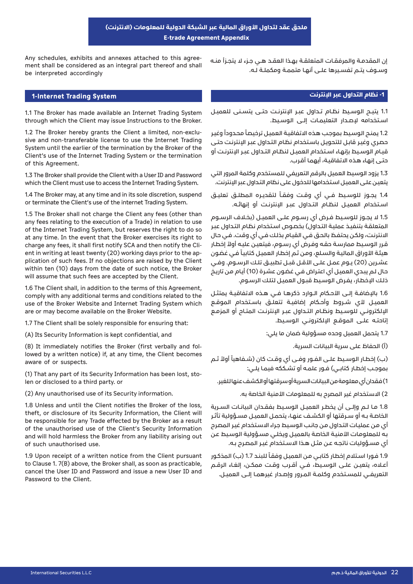# **ملحق عقد لتداول األوراق المالية عبر الشبكة الدولية للمعلومات )االنترنت( E-trade Agreement Appendix**

ment shall be considered as an integral part thereof and shall Any schedules, exhibits and annexes attached to this agreebe interpreted accordingly

# **System Trading lnternet1- -1 نظام التداول عبر اإلنترنت**

1.1 The Broker has made available an Internet Trading System through which the Client may issue Instructions to the Broker.

sive and non-transferable license to use the Internet Trading 1.2 The Broker hereby grants the Client a limited, non-exclu-System until the earlier of the termination by the Broker of the Client's use of the Internet Trading System or the termination of this Agreement.

1.3 The Broker shall provide the Client with a User ID and Password which the Client must use to access the Internet Trading System.

1.4 The Broker may, at any time and in its sole discretion, suspend or terminate the Client's use of the internet Trading System.

1.5 The Broker shall not charge the Client any fees (other than any fees relating to the execution of a Trade) in relation to use of the Internet Trading System, but reserves the right to do so at any time. In the event that the Broker exercises its right to plication of such fees. If no objections are raised by the Client ent in writing at least twenty (20) working days prior to the apcharge any fees, it shall first notify SCA and then notify the Cliwithin ten (10) days from the date of such notice, the Broker will assume that such fees are accepted by the Client.

1.6 The Client shall, in addition to the terms of this Agreement, comply with any additional terms and conditions related to the use of the Broker Website and Internet Trading System which are or may become available on the Broker Website.

1.7 The Client shall be solely responsible for ensuring that:

(A) Its Security Information is kept confidential, and

lowed by a written notice) if, at any time, the Client becomes (B) It immediately notifies the Broker (first verbally and folaware of or suspects.

(1) That any part of its Security Information has been lost, sto-<br>len or disclosed to a third party. or

(2) Any unauthorised use of its Security information.

1.8 Unless and until the Client notifies the Broker of the loss, theft, or disclosure of its Security Information, the Client will be responsible for any Trade effected by the Broker as a result of the unauthorised use of the Client's Security Information and will hold harmless the Broker from any liability arising out of such unauthorised use.

1.9 Upon receipt of a written notice from the Client pursuant to Clause 1.  $7(B)$  above, the Broker shall, as soon as practicable, cancel the User ID and Password and issue a new User ID and Password to the Client.

إن المقدمــة والمرفقـات المتعلقــة بهــذا العقــد هــي جــزء لا يتجــزأ منــه وســوف يتــم تفســيرها علــى أنهــا متممــة ومكملــة لــه.

1.1 يتيــح الـوسـيط نظـام تــداول عبــر الإنترنـت حتــى يتســنى للعميـل اســتخدامه إلصــدار التعليمــات إلــى الوســيط.

1.2 يمنـح الوسيط بموجب هذه الاتفاقيـة العميل ترخيصاً محدوداً وغير حصـري وغيـر قابـل للتحويـل باسـتخدام نظـام التـداول عبـر اإلنترنـت حتـى قيــام الوســيط بإنهــاء اســتخدام العميــل لنظــام التــداول عبــر اإلنترنــت أو حتـى إنهـاء هـذه االتفاقيـة، أيهمـا أقـرب.

1.3 يزود الوسيط العميل بالرقم التعريفي للمستخدم وكلمة المرور التي يتعيـن علـى العميـل اسـتخدامها للدخول على نظام التـداول عبر اإلنترنت.

1.4 يجـوز للوسـيط فــى أي وقـت وفقـاً لتقديـره المطلـق تعليـق اســتخدام العميـل لنظـام التــداول عبــر الإنترنـت أو إنهائـه.

1.5 لا يجـوز للوسـيط فـرض أي رســوم علــى العميـل (بخـلاف الرســوم المتعلقـة بتنفيـذ عمليـة التـداول) بخصـوص اسـتخدام نظـام التـداول عبـر االنترنـت، ولكـن يحتفـظ بالحـق فـي القيـام بذلـك فـي أي وقـت. فـي حـال ً قـرر الوسـيط ممارسـة حقـه وفـرض أي رسـوم، فيتعيـن عليـه أوال إخطـار هيئـة الأوراق الماليـة والسـلع، ومن ثـم إخطـار العميـل كتابيـاً فـي غضـون عشـرين (20) يـوم عمـل علــى الأقـل قبـل تطبيق تلـك الرسـوم. وفـي حـال لـم يبـدي العميـل أي اعتـراض فـي غضـون عشـرة )10( أيـام مـن تاريـخ ذلـك اإلخطـار، يفـرض الوسـيط قبـول العميـل لتلـك الرسـوم.

1.6 بالإضافــة إلــى الأحــكام الــوارد ذكرهــا فــي هــذه الاتفاقيــة يمتثــل العميـل لأى شــروط وأحـكام إضافيــة تتعلــق باسـتخدام الموقــع الإلكترونــي للـوسـيط ونظـام التــداول عبــر الإنترنــت المتـاح أو المزمــع إتاحتـه علـى الموقـع الإلكترونـى الوسـيط.

1.7 يتحمل العميل وحده مسؤولية ضمان ما يلي:

)أ( الحفاظ على سرية البيانات السرية.

(ب) إخطـار الوسـيط علـى الفـور وفــى أي وقـت كان (شـفاهياً أولاً ثـم بموجـب إخطـار كتابــي) فــور علمـه أو تشــككه فيمـا يلــي:

1( فقدان أي معلومة من البيانات السرية أو سرقتها أو الكشف عنها للغير.

2) الاستخدام غير المصرح به للمعلومات الأمنية الخاصة به.

1.8 مــا لــم وإلــى أن يخطــر العميــل الوســيط بفقــدان البيانــات الســرية الخاصــة بــه أو ســرقتها أو الكشــف عنهــا، يتحمــل العميــل مســؤولية تأثــر أي مـن عمليـات التـداول مـن جانـب الوسـيط جـراء االسـتخدام غيـر المصـرح بـه للمعلومـات الأمنيـة الخاصة بالعميـل ويخلـي مسـؤولية الوسيط عن أي مسـؤوليات ناتجـه عـن مثـل هـذا االسـتخدام غيـر المصـرح بـه.

1.9 فـورا استلام إخطار كتابـي من العميل وفقاً للبنـد 1.7 (ب) المذكور أعـلاه، يتعيــن علــى الوسـيط، فــي أقــرب وقــت ممكــن، إلغـاء الرقــم التعريفــي للمســتخدم وكلمــة المــرور وإصــدار غيرهمــا إلــى العميــل.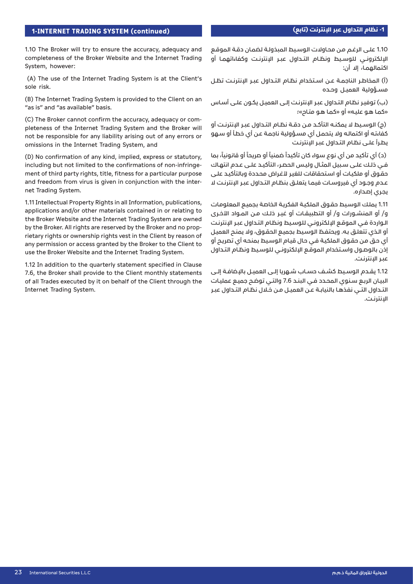1.10 The Broker will try to ensure the accuracy, adequacy and completeness of the Broker Website and the Internet Trading System, however:

(A) The use of the Internet Trading System is at the Client's sole risk.

(B) The Internet Trading System is provided to the Client on an "as is" and "as available" basis.

pleteness of the Internet Trading System and the Broker will (C) The Broker cannot confirm the accuracy, adequacy or comnot be responsible for any liability arising out of any errors or omissions in the Internet Trading System, and

(D) No confirmation of any kind, implied, express or statutory, ment of third party rights, title, fitness for a particular purpose including but not limited to the confirmations of non-infringeand freedom from virus is given in conjunction with the inter-<br>net Trading System.

1.11 Intellectual Property Rights in all Information, publications, applications and/or other materials contained in or relating to the Broker Website and the Internet Trading System are owned rietary rights or ownership rights yest in the Client by reason of by the Broker. All rights are reserved by the Broker and no propany permission or access granted by the Broker to the Client to use the Broker Website and the Internet Trading System.

1.12 In addition to the quarterly statement specified in Clause 7.6, the Broker shall provide to the Client monthly statements of all Trades executed by it on behalf of the Client through the Internet Trading System.

1.10 علـى الرغـم مـن محـاوالت الوسـيط المبذولـة لضمـان دقـة الموقـع اإللكترونــي للوســيط ونظــام التــداول عبــر اإلنترنــت وكفاءاتهمــا أو اكتمالهمـا، إلا أن:

)أ( المخاطــر الناجمــة عــن اســتخدام نظــام التــداول عبــر اإلنترنــت تظــل مســؤولية العميــل وحــده

)ب( توفيـر نظـام التـداول عبـر اإلنترنـت إلـى العميـل يكـون علـى أسـاس »كمـا هـو عليـه« أو »كمـا هـو متـاح«؛

)ج( الوســيط ال يمكنــه التأكــد مــن دقــة نظــام التــداول عبــر اإلنترنــت أو كفاءتـه أو اكتمالـه وال يتحمـل أي مسـؤولية ناجمـة عـن أي خطـأ أو سـهو يطـرأ علـى نظـام التـداول عبـر اإلنترنـت

(د) أي تأكيد من أي نوع سواء كان تأكيداً ضمنياً أو صريحاً أو قانونياً، بما فـي ذلـك علـى سـبيل المثـال وليـس الحصـر، التأكيـد علـى عـدم انتهـاك حقـوق أو ملكيات أو اسـتحقاقات للغيـر لأغـراض محـددة وبالتأكيـد علـى عــدم وجــود أي فيروســات فيمــا يتعلــق بنظــام التــداول عبــر الإنترنــت لا يجـري إصـداره.

1.11 يملك الوسيط حقـوق الملكية الفكرية الخاصة بجميع المعلومات و/ أو المنشــورات و/ أو التطبيقــات أو غيــر ذلــك مــن المــواد األخــرى الـواردة فـي الموقـع اإللكترونـي للوسـيط ونظـام التـداول عبـر اإلنترنـت أو الـذي تتعلـق بـه. ويحتفـظ الوسـيط بجميـع الحقـوق، وال يمنـح العميـل أي حـق مـن حقـوق الملكيـة فـي حـال قيـام الوسـيط بمنحـه أي تصريـح أو إذن بالوصـول واسـتخدام الموقـع الإلكترونـى للوسـيط ونظـام التـداول عبر الإنترنت.

1.12 يقــدم الوســيط كشــف حســاب شــهريا إلــى العميــل باإلضافــة إلــى البيـان الربـع سـنوي المحـدد فـي البنـد 7.6 والتـي توضـح جميـع عمليـات التــداول التــي نفذهــا بالنيابــة عــن العميــل مــن خــال نظــام التــداول عبــر اإلنترنــت.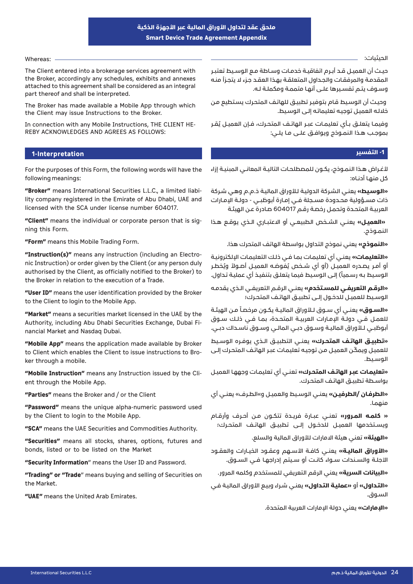#### Whereas: -

The Client entered into a brokerage services agreement with the Broker, accordingly any schedules, exhibits and annexes attached to this agreement shall be considered as an integral part thereof and shall be interpreted.

The Broker has made available a Mobile App through which the Client may issue Instructions to the Broker.

REBY ACKNOWLEDGES AND AGREES AS FOLLOWS: In connection with any Mobile Instructions, THE CLIENT HE-

# **lnterpretation1- -1 التفسير**

For the purposes of this Form, the following words will have the following meanings:

lity company registered in the Emirate of Abu Dhabi, UAE and "Broker" means International Securities L.L.C., a limited liabilicensed with the SCA under license number 604017.

**"Client"** means the individual or corporate person that is sig-<br>ning this Form.

"Form" means this Mobile Trading Form.

nic Instruction) or order given by the Client (or any person duly "Instruction(s)" means any instruction (including an Electroauthorised by the Client, as officially notified to the Broker) to the Broker in relation to the execution of a Trade.

"User ID" means the user identification provided by the Broker to the Client to login to the Mobile App.

"Market" means a securities market licensed in the UAE by the Authority, including Abu Dhabi Securities Exchange, Dubai Fi-<br>nancial Market and Nasdaq Dubai.

"Mobile App" means the application made available by Broker to Client which enables the Client to issue instructions to Bro-<br>ker through a mobile.

**"Mobile Instruction"** means any Instruction issued by the Cli-<br>ent through the Mobile App.

"Parties" means the Broker and / or the Client

**"Password"** means the unique alpha-numeric password used by the Client to login to the Mobile App.

"SCA" means the UAE Securities and Commodities Authority.

"Securities" means all stocks, shares, options, futures and bonds, listed or to be listed on the Market

"Security Information" means the User ID and Password.

"Trading" or "Trade" means buying and selling of Securities on the Market.

"**UAE"** means the United Arab Emirates.

الحيثيات:

حيــث أن العميــل قــد أبــرم اتفاقيــة خدمــات وســاطة مــع الوســيط تعتبــر المقدمـة والمرفقـات والجـداول المتعلقـة بهـذا العقـد جـزء ال يتجـزأ منـه وسـوف يتـم تفسـيرها علـى أنهـا متممـة ومكملـة لـه.

 وحيـث أن الوسـيط قـام بتوفيـر تطبيـق للهاتـف المتحـرك يسـتطيع مـن خلالـه العميـل توجيه تعليماتـه إلـى الوسـيط.

وفيمـا يتعلــق بـأي تعليمـات عبــر الهاتـف المتحــرك، فــإن العميــل يُقــر بموجــب هــذا النمــوذج ويوافــق علــى مــا يلــي:

لأغـراض هـذا النمـوذج، يكـون للمصطلحـات التاليـة المعانــى المبنيـة إزاء كل منهــا أدنــاه:

**»الوسـيط«** يعنـي الشـركة الدوليـة لـأوراق الماليـة ذ.م.م وهـي شـركة ذات مســؤولية محــدودة مســجلة فــي إمــارة أبوظبــي - دولــة اإلمــارات العربيـة المتحـدة وتحمـل رخصـة رقـم 604017 صـادرة عـن الهيئـة

**»العميــل«** يعنــي الشــخص الطبيعــي أو االعتبــاري الــذي يوقــع هــذا النمـوذج.

**»النموذج«** يعني نموذج التداول بواسطة الهاتف المتحرك هذا.

**»التعليمـات«** يعنـي أي تعليمـات بمـا فـي ذلـك التعليمـات اإللكترونيـة أو أمــر يصــدره العميــل (أو أي شــخص يُفوضـه العميــل أصــولاً ويُخطــر الوسيط بـه رسـمياً) إلـى الوسيط فيما يتعلـق بتنفيـذ أي عمليـة تـداول.

**»الرقــم التعريفــي للمســتخدم«** يعنــي الرقــم التعريفــي الــذي يقدمــه الوســيط للعميــل للدخــول إلــى تطبيــق الهاتــف المتحــرك؛

«**السـوق»** يعنـى أي سـوق لـلأوراق الماليـة يكـون مرخصاً مـن الهيئـة للعمـل فــي دولــة البـمـارات العربيــة المتحــدة، بمــا فــي ذلــك ســوق أبوظبــي لــلأوراق الماليــة وســوق دبــي الـمالــي وســوق ناســداك دبــي.

**»تطبيــق الهاتــف المتحــرك«** يعنــي التطبيــق الــذي يوفــره الوســيط ّ للعميـل ويمكـن العميـل مـن توجيـه تعليمـات عبـر الهاتـف المتحـرك إلـى الوســيط.

**»تعليمـات عبـر الهاتـف المتحـرك«** تعنـي أي تعليمـات وجههـا العميـل بواسـطة تطبيـق الهاتـف المتحـرك.

**»الطرفــان /الطرفيــن«** يعنــي الوســيط والعميــل و«الطــرف« يعنــي أي منهمـا.

**» كلمــه المــرور«** تعنــي عبــارة فريــدة تتكــون مــن أحــرف وأرقــام ويسـتخدمها العميـل للدخـول إلـى تطبيـق الهاتـف المتحـرك؛

**»الهيئة«** تعني هيئة االمارات لألوراق المالية والسلع.

**»األوراق الماليــة«** يعنــي كافــة األســهم وعقــود الخيــارات والعقــود الآجلــة والســندات ســواء كانـت أو ســيتم إدراجهــا فــي الســوق.

**»البيانات السرية«** يعني الرقم التعريفي للمستخدم وكلمه المرور.

**»التـداول«** أو **»عمليـة التـداول«** يعنـي شـراء وبيـع األوراق الماليـة فـي السـوق.

**»اإلمارات«** يعني دولة اإلمارات العربية المتحدة.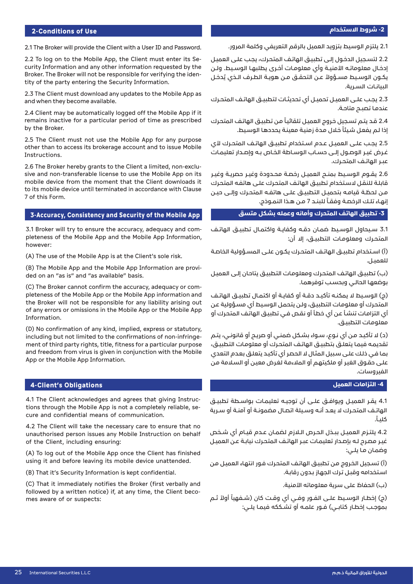## **-2 شروط االستخدام**

#### **2-Conditions of Use**

2.1 The Broker will provide the Client with a User ID and Password.

curity Information and any other information requested by the 2.2 To log on to the Mobile App, the Client must enter its Setity of the party entering the Security Information. Broker. The Broker will not be responsible for verifying the iden-

2.3 The Client must download any updates to the Mobile App as and when they become available.

2.4 Client may be automatically logged off the Mobile App if it remains inactive for a particular period of time as prescribed by the Broker.

2.5 The Client must not use the Mobile App for any purpose other than to access its brokerage account and to issue Mobile .Instructions

sive and non-transferable license to use the Mobile App on its 2.6 The Broker hereby grants to the Client a limited, non-exclumobile device from the moment that the Client downloads it to its mobile device until terminated in accordance with Clause 7 of this Form.

### **Accuracy, Consistency and Security of the Mobile App**

pleteness of the Mobile App and the Mobile App Information, 3.1 Broker will try to ensure the accuracy, adequacy and com-:however

(A) The use of the Mobile App is at the Client's sole risk.

ded on an "as is" and "as available" basis. (B) The Mobile App and the Mobile App Information are provi-

pleteness of the Mobile App or the Mobile App information and (C) The Broker cannot confirm the accuracy, adequacy or comthe Broker will not be responsible for any liability arising out of any errors or omissions in the Mobile App or the Mobile App .Information

(D) No confirmation of any kind, implied, express or statutory, ment of third party rights, title, fitness for a particular purpose including but not limited to the confirmations of non-infringeand freedom from virus is given in conjunction with the Mobile App or the Mobile App Information.

#### **4-Client's Obligations**

tions through the Mobile App is not a completely reliable, se-<br>cure and confidential means of communication. 4.1 The Client acknowledges and agrees that giving Instruc-<br>tions through the Mobile App is not a completely reliable, se-4.1 The Client acknowledges and agrees that giving Instruc-

4.2 The Client will take the necessary care to ensure that no unauthorised person issues any Mobile Instruction on behalf of the Client, including ensuring:

(A) To log out of the Mobile App once the Client has finished using it and before leaving its mobile device unattended.

(B) That it's Security Information is kept confidential.

(C) That it immediately notifies the Broker (first verbally and followed by a written notice) if, at any time, the Client beco-<br>mes aware of or suspects:

2.1 يلتزم الوسيط بتزويد العميل بالرقم التعريفي وكلمة المرور.

2.2 لتسـجيل الدخـول إلـى تطبيـق الهاتـف المتحـرك، يجـب علـى العميـل إدخـال معلوماتــه الأمنيــة وأي معلومـات أخــرى يطلبهـا الوســيط. ولــن يكــون الـوسـيط مســؤولاً عــن التحقــق مــن هويــة الـطــرف الــذي يُـحــضل البيانــات الســرية.

2.3 يجـب علــى العميـل تحميـل أي تحديثـات لتطبيــق الهاتـف المتحـرك عندمـا تصبــح متاحـة.

2.4 قـد يتـم تسـجيل خـروج العميـل تلقائيـاً من تطبيـق الهاتـف المتحرك إذا لـم يفعل شيئاً خلال مدة زمنية معينة يحددها الوسيط.

2.5 ي*جـب علــ*ى العميـل عــدم اسـتخدام تطبيــق الهاتـف المتحـرك لأي غـرض غيـر الوصـول إلـى حسـاب الوسـاطة الخـاص بـه وإصـدار تعليمـات عبـر الهاتـف المتحـرك.

2.6 يقــوم الـوسـيط بمنــح العميــل رخصـة محــدودة وغيــر حصريــة وغيــر قابلـة للنقـل السـتخدام تطبيـق الهاتـف المتحـرك علـى هاتفـه المتحـرك مــن لحظــة قيامــه بتحميــل التطبيــق علــى هاتفــه المتحــرك وإلــى حيــن إنهـاء تلـك الرخصـة وفقـاً للبنـد 7 مـن هـذا النمـوذج.

### **-3 تطبيق الهاتف المتحرك وأمانه وعمله بشكل متسق**

3.1 ســيحاول الـوســيط ضمــان دقــه وكفايــة واكتمــال تطبيــق الـهاتــف المتحــرك ومعلومـات التطبيــق، إلا أن:

(أ) اسـتخدام تطبيــق الهاتـف المتحـرك يكـون علــى المســؤولية الخاصـة للعميــل.

)ب( تطبيـق الهاتـف المتحـرك ومعلومـات التطبيـق يتاحـان إلـى العميـل بوضعهـا الحالـي وبحسـب توفرهمـا.

(ح) الوسـيط لا يمكنــه تأكيــد دقــة أو كفايــة أو اكتمــال تطبيــق الهاتــف المتحـرك أو معلومـات التطبيـق، ولـن يتحمـل الوسـيط أي مسـؤولية عـن أي التزامـات تنشـأ عـن أي خطـأ أو نقـص فـي تطبيـق الهاتـف المتحـرك أو معلومـات التطبيـق.

)د( ال تأكيـد مـن أي نـوع، سـواء بشـكل ضمنـي أو صريـح أو قانونـي، يتـم تقديمـه فيمـا يتعلـق بتطبيـق الهاتـف المتحـرك أو معلومـات التطبيـق، بمـا فـي ذلـك علـى سـبيل المثـال ال الحصـر أي تأكيـد يتعلـق بعـدم التعدي علـى حقـوق الغيـر أو ملكيتهـم أو المالءمـة لغـرض معيـن أو السـامة مـن الفيروسات.

## **-4 التزامات العميل**

4.1 يقــر العميــل ويوافــق علــى أن توجيــه تعليمــات بـواســطة تطبيــق الهاتــف المتحــرك ال يعــد أنــه وســيلة اتصــال مضمونــة أو آمنــة أو ســرية كليـاً.

4.2 يلتــزم العميــل ببــذل الحــرص الــازم لضمــان عــدم قيــام أي شــخص غيـر مصـرح لـه بإصـدار تعليمـات عبـر الهاتـف المتحـرك نيابـة عـن العميـل وضمـان مـا يلــى:

)أ( تسـجيل الخـروج مـن تطبيـق الهاتـف المتحـرك فـور انتهـاء العميـل مـن اسـتخدامه وقبـل تـرك الجهـاز بـدون رقابـة.

)ب( الحفاظ على سرية معلوماته األمنية.

(ج) إخطــار الوســيط علــى الفــور وفــى أي وقــت كان (شــفهياً أولاً ثــم بموجـب إخطـار كتابــي) فــور علمــه أو تشــككه فيمــا يلــي: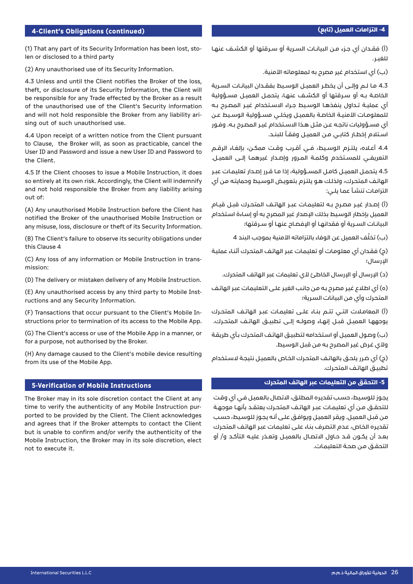## **-4 التزامات العميل )تابع(**

#### **4-Client's Obligations (continued)**

(1) That any part of its Security Information has been lost, sto-<br>len or disclosed to a third party

(2) Any unauthorised use of its Security Information.

4.3 Unless and until the Client notifies the Broker of the loss, theft, or disclosure of its Security Information, the Client will be responsible for any Trade effected by the Broker as a result of the unauthorised use of the Client's Security information and will not hold responsible the Broker from any liability ari-<br>sing out of such unauthorised use.

4.4 Upon receipt of a written notice from the Client pursuant to Clause, the Broker will, as soon as practicable, cancel the User ID and Password and issue a new User ID and Password to the Client.

4.5 If the Client chooses to issue a Mobile Instruction, it does so entirely at its own risk. Accordingly, the Client will indemnify and not hold responsible the Broker from any liability arising out of:

(A) Any unauthorised Mobile Instruction before the Client has notified the Broker of the unauthorised Mobile Instruction or any misuse, loss, disclosure or theft of its Security Information.

(B) The Client's failure to observe its security obligations under this Clause 4

(C) Any loss of any information or Mobile Instruction in trans-<br>mission:

(D) The delivery or mistaken delivery of any Mobile Instruction.

(E) Any unauthorised access by any third party to Mobile Inst-<br>ructions and any Security Information.

structions prior to termination of its access to the Mobile App. (F) Transactions that occur pursuant to the Client's Mobile In-

(G) The Client's access or use of the Mobile App in a manner, or for a purpose, not authorised by the Broker.

(H) Any damage caused to the Client's mobile device resulting from its use of the Mobile App.

#### **Instructions of Mobile Instructions**

The Broker may in its sole discretion contact the Client at any ported to be provided by the Client. The Client acknowledges time to verify the authenticity of any Mobile Instruction purand agrees that if the Broker attempts to contact the Client but is unable to confirm and/or verify the authenticity of the Mobile Instruction, the Broker may in its sole discretion, elect not to execute it.

)أ( فقــدان أي جــزء مــن البيانــات الســرية أو ســرقتها أو الكشــف عنهــا للغيــر.

)ب( أي استخدام غير مصرح به لمعلوماته األمنية.

4.3 مــا لــم وإلــى أن يخطــر العميــل الوســيط بفقــدان البيانــات الســرية الخاصــة بــه أو ســرقتها أو الكشــف عنهــا، يتحمــل العمـــل مســؤولية أي عمليــة تــداول ينفذهــا الوســيط جــراء االســتخدام غيــر المصــرح بــه للمعلومـات الأمنيــة الخاصــة بالعميــل ويخلــي مســؤولية الـوسـيط عـن أي مســؤوليات ناتجــه عــن مثــل هــذا االســتخدام غيــر المصــرح بــه. وفــور اســتلام إخطـار كتابــي مــن العميــل وفقــاً للبنــد.

4.4 أعــاه، يلتــزم الوســيط، فــي أقــرب وقــت ممكــن، بإلغــاء الرقــم التعريفــي للمسـتخدم وكلمـة المـرور وإصـدار غيرهمـا إلــى العميـل.

4.5 يتحمــل العميــل كامــل المســؤولية، إذا مــا قــرر إصــدار تعليمــات عبــر الهاتـف المتحـرك، ولذلـك هـو يلتـزم بتعويـض الوسـيط وحمايتـه مـن أي التزامـات تنشـأ عمـا يلـي:

)أ( إصــدار غيــر مصــرح بــه لتعليمــات عبــر الهاتــف المتحــرك قبــل قيــام العميل بإخطار الوسـيط بذلك اإلصدار غير المصرح به أو إسـاءة اسـتخدام البيانـات السـرية أو فقدانهـا أو البـفصـاح عنهـا أو ســرقتها؛

(ب) تخلُّف العميل عن الوفاء بالتزاماته الأمنية بموجب البند 4

)ج( فقـدان أي معلومـات أو تعليمـات عبـر الهاتـف المتحـرك أثنـاء عمليـة اإلرسال؛

)د( اإلرسال أو اإلرسال الخاطئ ألي تعليمات عبر الهاتف المتحرك.

)ه( أي اطـاع غيـر مصـرح بـه مـن جانـب الغيـر علـى التعليمـات عبـر الهاتـف المتحـرك وأي مـن البيانات السـرية؛

)أ( المعامــات التــي تتــم بنــاء علــى تعليمــات عبــر الهاتــف المتحــرك يوجههـا العميـل قبــل إنهـاء وصولــه إلــى تطبيــق الهاتـف المتحــرك.

)ب( وصـول العميـل أو اسـتخدامه لتطبيـق الهاتـف المتحـرك بـأي طريقـة وألي غـرض غيـر المصـرح بـه مـن قبـل الوسـيط.

)ج( أي ضـرر يلحـق بالهاتـف المتحـرك الخـاص بالعميـل نتيجـة السـتخدام تطبيـق الهاتـف المتحـرك.

#### **-5 التحقق من التعليمات عبر الهاتف المتحرك**

يجـوز للوسـيط، حسـب تقديـره المطلـق، االتصـال بالعميـل فـي أي وقـت للتحقــق مــن أي تعليمــات عبــر الهاتــف المتحــرك يعتقــد بأنهــا موجهــة مـن قبـل العميـل. ويقـر العميـل ويوافـق علـى أنـه يجـوز للوسـيط، حسـب تقديـره الخـاص، عـدم التصـرف بنـاء علـى تعليمـات عبـر الهاتـف المتحـرك بعــد أن يكــون قــد حــاول االتصــال بالعميــل وتعــذر عليــه التأكــد و/ أو التحقـق مـن صحـة التعليمـات.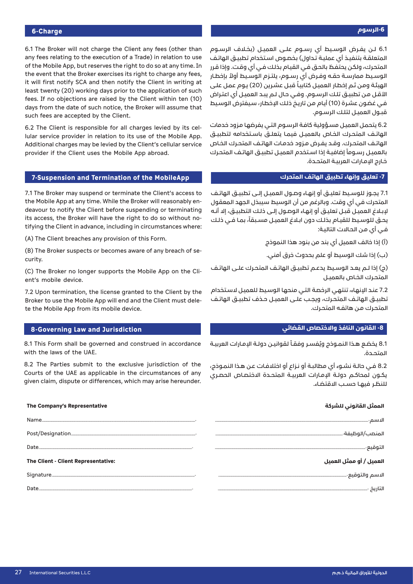# **-6الرسوم**

6.1 The Broker will not charge the Client any fees (other than any fees relating to the execution of a Trade) in relation to use of the Mobile App, but reserves the right to do so at any time. In the event that the Broker exercises its right to charge any fees. it will first notify SCA and then notify the Client in writing at least twenty (20) working days prior to the application of such fees. If no objections are raised by the Client within ten (10) days from the date of such notice, the Broker will assume that such fees are accepted by the Client.

lular service provider in relation to its use of the Mobile App. 6.2 The Client is responsible for all charges levied by its cel-Additional charges may be levied by the Client's cellular service provider if the Client uses the Mobile App abroad.

#### **7-Suspension and Termination of the MobileApp**

7.1 The Broker may suspend or terminate the Client's access to deavour to notify the Client before suspending or terminating the Mobile App at any time. While the Broker will reasonably entifying the Client in advance, including in circumstances where: its access, the Broker will have the right to do so without no-

(A) The Client breaches any provision of this Form.

(B) The Broker suspects or becomes aware of any breach of se-<br>curity.

(C) The Broker no longer supports the Mobile App on the Cli-<br>ent's mobile device.

7.2 Upon termination, the license granted to the Client by the Broker to use the Mobile App will end and the Client must dele-<br>te the Mobile App from its mobile device.

#### **8-Governing Law and Jurisdiction**

8.1 This Form shall be governed and construed in accordance with the laws of the UAE.

8.2 The Parties submit to the exclusive jurisdiction of the Courts of the UAE as applicable in the circumstances of any given claim, dispute or differences, which may arise hereunder.

#### **الممثل القانوني للشركة Representative s'Company The**

| Date                                | التوقيع-.               |
|-------------------------------------|-------------------------|
|                                     |                         |
| The Client - Client Representative: | العميل / أو ممثل العميل |
|                                     |                         |

6.1 لــن يفــرض الـوسـيط أي رســوم علــى العميــل (بخـلاف الرســوم المتعلقـة بتنفيـذ أي عمليـة تـداول) بخصـوص اسـتخدام تطبيـق الهاتـف المتحـرك، ولكـن يحتفـظ بالحـق فـي القيـام بذلـك فـي أي وقـت. وإذا قـرر ُ الوســيط ممارســة حقــه وفــرض أي رســوم، يلتــزم الوســيط أوال بإخطــار الهيئـة ومـن ثـم إخطـار العميـل كتابيـاً قبـل عشـرين (20) يـوم عمـل علـى األقـل مـن تطبيـق تلـك الرسـوم. وفـي حـال لـم يبـد العميـل أي اعتـراض فـي غضـون عشـرة (10) أيـام مـن تاريـخ ذلـك الاخطـار، سـيفترض الـوسـيط قبـول العميـل لتلـك الرسـوم.

6.2 يتحمـل العميـل مسـؤولية كافـة الرسـوم التـي يفرضهـا مـزود خدمات الهاتـف المتحـرك الخـاص بالعميـل فيمـا يتعلــق باسـتخدامه لتطبيــق الهاتـف المتحـرك. وقـد يفـرض مـزود خدمـات الهاتـف المتحـرك الخـاص بالعميـل رسـوماً إضافيـة إذا اسـتخدم العميـل تطبيـق الهاتـف المتحـرك خـارج الإمـارات العربيـة المتحـدة.

### **-7 تعليق وإنهاء تطبيق الهاتف المتحرك**

7.1 يجــوز للوســيط تعليــق أو إنهــاء وصــول العميــل إلــى تطبيــق الهاتــف المتحرك في أي وقت. وبالرغم من أن الوسيط سيبذل الجهد المعقول إلبـاغ العميـل قبـل تعليـق أو إنهـاء الوصـول إلـى ذلـك التطبيـق، إال أنـه يحـق للوسـيط للقيـام بذلـك دون ابـلاغ العميـل مسـبقاً، بمـا فــى ذلـك فـي أي مـن الحـاالت التاليـة:

)أ( إذا خالف العميل أي بند من بنود هذا النموذج

)ب( إذا شك الوسيط أو علم بحدوث خرق أمني.

(ج) إذا لـم يعـد الوسـيط يدعـم تطبيــق الهاتـف المتحـرك علــى الهاتـف المتحــرك الخــاص بالعميــل

7.2 عنـد الإنهاء، تنتهـي الرخصة التـي منحهـا الوسيط للعميـل لاسـتخدام تطبيــق الهاتـف المتحـرك، ويجـب علــى العميــل حـذف تطبيــق الهاتـف المتحـرك مـن هاتفـه المتحـرك.

#### **-8 القانون النافذ واالختصاص القضائي**

8.1 يخضع هـذا النمـوذج ويُفسـر وفقـاً لقوانيـن دولـة الإمـارات العربيـة المتحــدة.

8.2 فـي حالـة نشـوء أي مطالبـة أو نـزاع أو اختالفـات عـن هـذا النمـوذج، يكــون لمحاكــم دولــة الإمـارات العربيــة المتحــدة الاختصــاص الحصـري للنظــر فيهــا حســب االقتضــاء.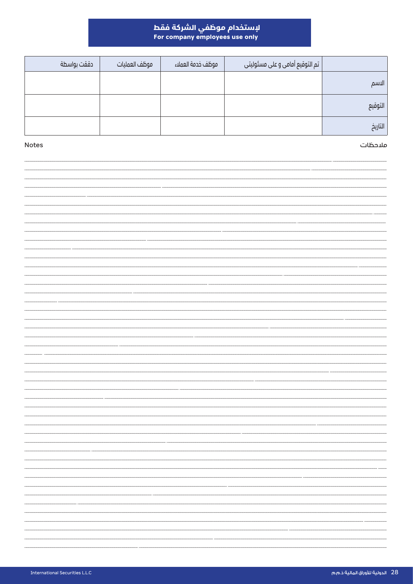# لإستخدام موظفي الشركة فقط<br>For company employees use only

|         | تم التوقيع أمامي و على مسئوليتي | موظف خدمة العملاء | موظف العمليات | دققت بواسطة |
|---------|---------------------------------|-------------------|---------------|-------------|
| الاسم   |                                 |                   |               |             |
| التوقيع |                                 |                   |               |             |
| التاريخ |                                 |                   |               |             |

# ملاحظات

Notes